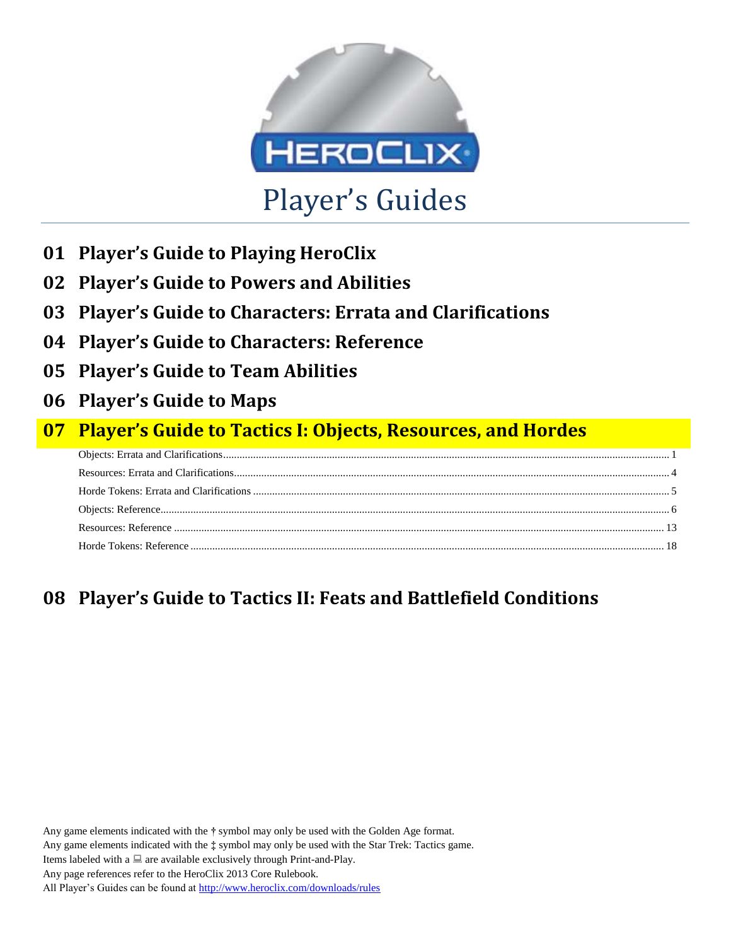

- **01 Player's Guide to Playing HeroClix**
- **02 Player's Guide to Powers and Abilities**
- **03 Player's Guide to Characters: Errata and Clarifications**
- **04 Player's Guide to Characters: Reference**
- **05 Player's Guide to Team Abilities**
- **06 Player's Guide to Maps**

## **07 Player's Guide to Tactics I: Objects, Resources, and Hordes**

# **08 Player's Guide to Tactics II: Feats and Battlefield Conditions**

Any game elements indicated with the **†** symbol may only be used with the Golden Age format. Any game elements indicated with the **‡** symbol may only be used with the Star Trek: Tactics game. Items labeled with a  $\Box$  are available exclusively through Print-and-Play. Any page references refer to the HeroClix 2013 Core Rulebook. All Player's Guides can be found a[t http://www.heroclix.com/downloads/rules](http://www.heroclix.com/downloads/rules)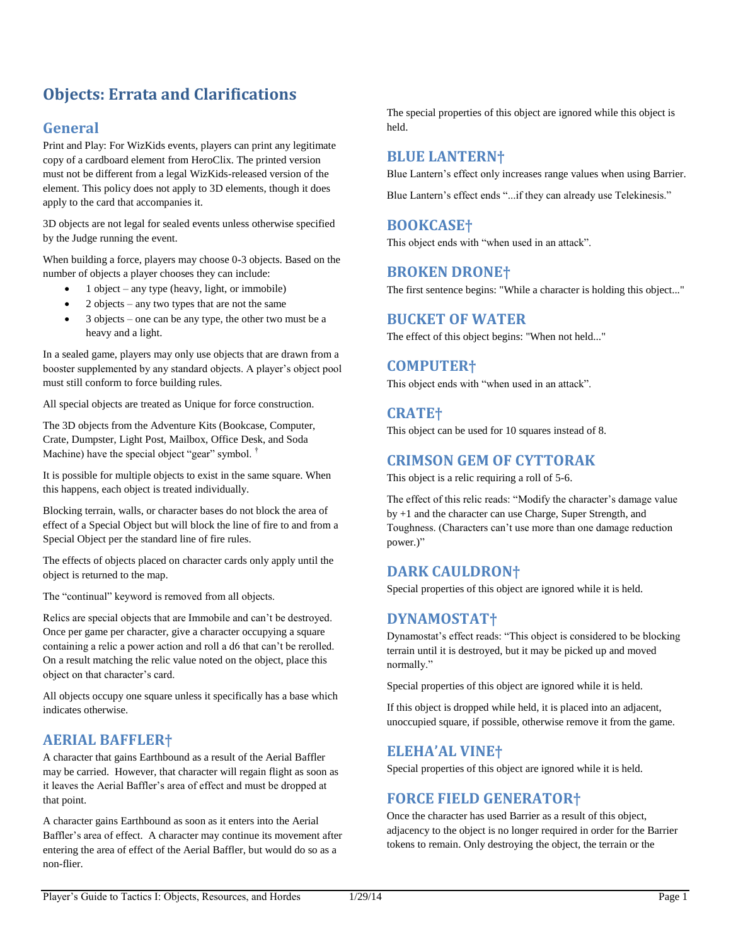## <span id="page-1-0"></span>**Objects: Errata and Clarifications**

## **General**

Print and Play: For WizKids events, players can print any legitimate copy of a cardboard element from HeroClix. The printed version must not be different from a legal WizKids-released version of the element. This policy does not apply to 3D elements, though it does apply to the card that accompanies it.

3D objects are not legal for sealed events unless otherwise specified by the Judge running the event.

When building a force, players may choose 0-3 objects. Based on the number of objects a player chooses they can include:

- 1 object any type (heavy, light, or immobile)
- 2 objects any two types that are not the same
- 3 objects one can be any type, the other two must be a heavy and a light.

In a sealed game, players may only use objects that are drawn from a booster supplemented by any standard objects. A player's object pool must still conform to force building rules.

All special objects are treated as Unique for force construction.

The 3D objects from the Adventure Kits (Bookcase, Computer, Crate, Dumpster, Light Post, Mailbox, Office Desk, and Soda Machine) have the special object "gear" symbol. <sup>†</sup>

It is possible for multiple objects to exist in the same square. When this happens, each object is treated individually.

Blocking terrain, walls, or character bases do not block the area of effect of a Special Object but will block the line of fire to and from a Special Object per the standard line of fire rules.

The effects of objects placed on character cards only apply until the object is returned to the map.

The "continual" keyword is removed from all objects.

Relics are special objects that are Immobile and can't be destroyed. Once per game per character, give a character occupying a square containing a relic a power action and roll a d6 that can't be rerolled. On a result matching the relic value noted on the object, place this object on that character's card.

All objects occupy one square unless it specifically has a base which indicates otherwise.

### **AERIAL BAFFLER†**

A character that gains Earthbound as a result of the Aerial Baffler may be carried. However, that character will regain flight as soon as it leaves the Aerial Baffler's area of effect and must be dropped at that point.

A character gains Earthbound as soon as it enters into the Aerial Baffler's area of effect. A character may continue its movement after entering the area of effect of the Aerial Baffler, but would do so as a non-flier.

The special properties of this object are ignored while this object is held.

### **BLUE LANTERN†**

Blue Lantern's effect only increases range values when using Barrier.

Blue Lantern's effect ends "...if they can already use Telekinesis."

### **BOOKCASE†**

This object ends with "when used in an attack".

### **BROKEN DRONE†**

The first sentence begins: "While a character is holding this object..."

### **BUCKET OF WATER**

The effect of this object begins: "When not held..."

### **COMPUTER†**

This object ends with "when used in an attack".

### **CRATE†**

This object can be used for 10 squares instead of 8.

### **CRIMSON GEM OF CYTTORAK**

This object is a relic requiring a roll of 5-6.

The effect of this relic reads: "Modify the character's damage value by +1 and the character can use Charge, Super Strength, and Toughness. (Characters can't use more than one damage reduction power.)"

### **DARK CAULDRON†**

Special properties of this object are ignored while it is held.

### **DYNAMOSTAT†**

Dynamostat's effect reads: "This object is considered to be blocking terrain until it is destroyed, but it may be picked up and moved normally."

Special properties of this object are ignored while it is held.

If this object is dropped while held, it is placed into an adjacent, unoccupied square, if possible, otherwise remove it from the game.

### **ELEHA'AL VINE†**

Special properties of this object are ignored while it is held.

### **FORCE FIELD GENERATOR†**

Once the character has used Barrier as a result of this object, adjacency to the object is no longer required in order for the Barrier tokens to remain. Only destroying the object, the terrain or the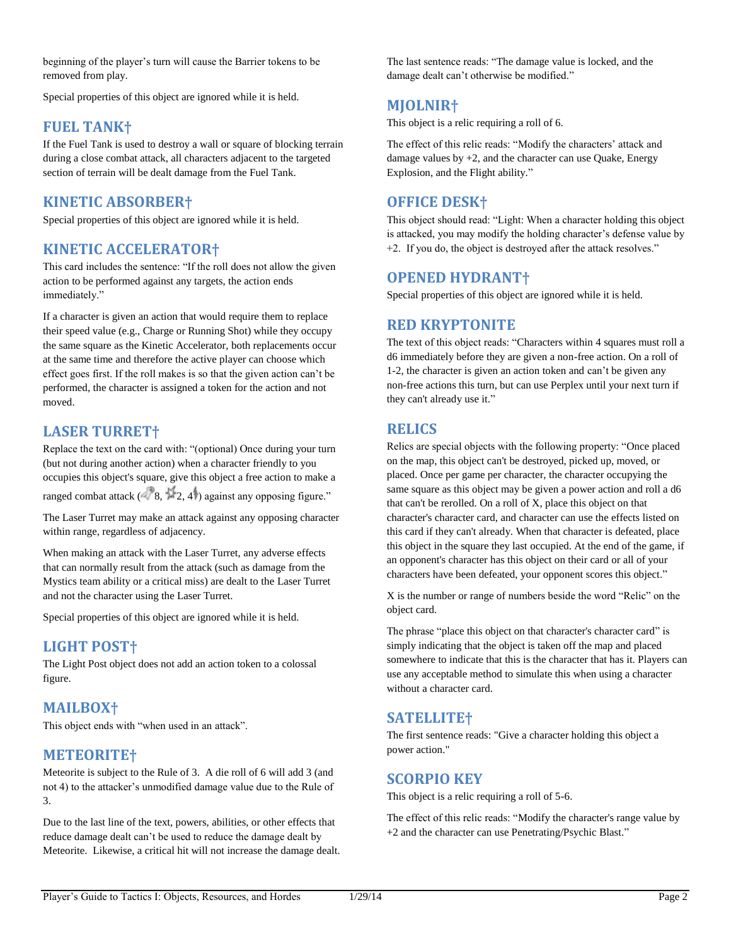beginning of the player's turn will cause the Barrier tokens to be removed from play.

Special properties of this object are ignored while it is held.

### **FUEL TANK†**

If the Fuel Tank is used to destroy a wall or square of blocking terrain during a close combat attack, all characters adjacent to the targeted section of terrain will be dealt damage from the Fuel Tank.

### **KINETIC ABSORBER†**

Special properties of this object are ignored while it is held.

### **KINETIC ACCELERATOR†**

This card includes the sentence: "If the roll does not allow the given action to be performed against any targets, the action ends immediately."

If a character is given an action that would require them to replace their speed value (e.g., Charge or Running Shot) while they occupy the same square as the Kinetic Accelerator, both replacements occur at the same time and therefore the active player can choose which effect goes first. If the roll makes is so that the given action can't be performed, the character is assigned a token for the action and not moved.

### **LASER TURRET†**

Replace the text on the card with: "(optional) Once during your turn (but not during another action) when a character friendly to you occupies this object's square, give this object a free action to make a ranged combat attack  $(8, 2, 4)$  against any opposing figure."

The Laser Turret may make an attack against any opposing character within range, regardless of adjacency.

When making an attack with the Laser Turret, any adverse effects that can normally result from the attack (such as damage from the Mystics team ability or a critical miss) are dealt to the Laser Turret and not the character using the Laser Turret.

Special properties of this object are ignored while it is held.

## **LIGHT POST†**

The Light Post object does not add an action token to a colossal figure.

### **MAILBOX†**

This object ends with "when used in an attack".

### **METEORITE†**

Meteorite is subject to the Rule of 3. A die roll of 6 will add 3 (and not 4) to the attacker's unmodified damage value due to the Rule of 3.

Due to the last line of the text, powers, abilities, or other effects that reduce damage dealt can't be used to reduce the damage dealt by Meteorite. Likewise, a critical hit will not increase the damage dealt. The last sentence reads: "The damage value is locked, and the damage dealt can't otherwise be modified."

### **MJOLNIR†**

This object is a relic requiring a roll of 6.

The effect of this relic reads: "Modify the characters' attack and damage values by  $+2$ , and the character can use Quake, Energy Explosion, and the Flight ability."

### **OFFICE DESK†**

This object should read: "Light: When a character holding this object is attacked, you may modify the holding character's defense value by +2. If you do, the object is destroyed after the attack resolves."

### **OPENED HYDRANT†**

Special properties of this object are ignored while it is held.

### **RED KRYPTONITE**

The text of this object reads: "Characters within 4 squares must roll a d6 immediately before they are given a non-free action. On a roll of 1-2, the character is given an action token and can't be given any non-free actions this turn, but can use Perplex until your next turn if they can't already use it."

### **RELICS**

Relics are special objects with the following property: "Once placed on the map, this object can't be destroyed, picked up, moved, or placed. Once per game per character, the character occupying the same square as this object may be given a power action and roll a d6 that can't be rerolled. On a roll of X, place this object on that character's character card, and character can use the effects listed on this card if they can't already. When that character is defeated, place this object in the square they last occupied. At the end of the game, if an opponent's character has this object on their card or all of your characters have been defeated, your opponent scores this object."

X is the number or range of numbers beside the word "Relic" on the object card.

The phrase "place this object on that character's character card" is simply indicating that the object is taken off the map and placed somewhere to indicate that this is the character that has it. Players can use any acceptable method to simulate this when using a character without a character card.

### **SATELLITE†**

The first sentence reads: "Give a character holding this object a power action."

### **SCORPIO KEY**

This object is a relic requiring a roll of 5-6.

The effect of this relic reads: "Modify the character's range value by +2 and the character can use Penetrating/Psychic Blast."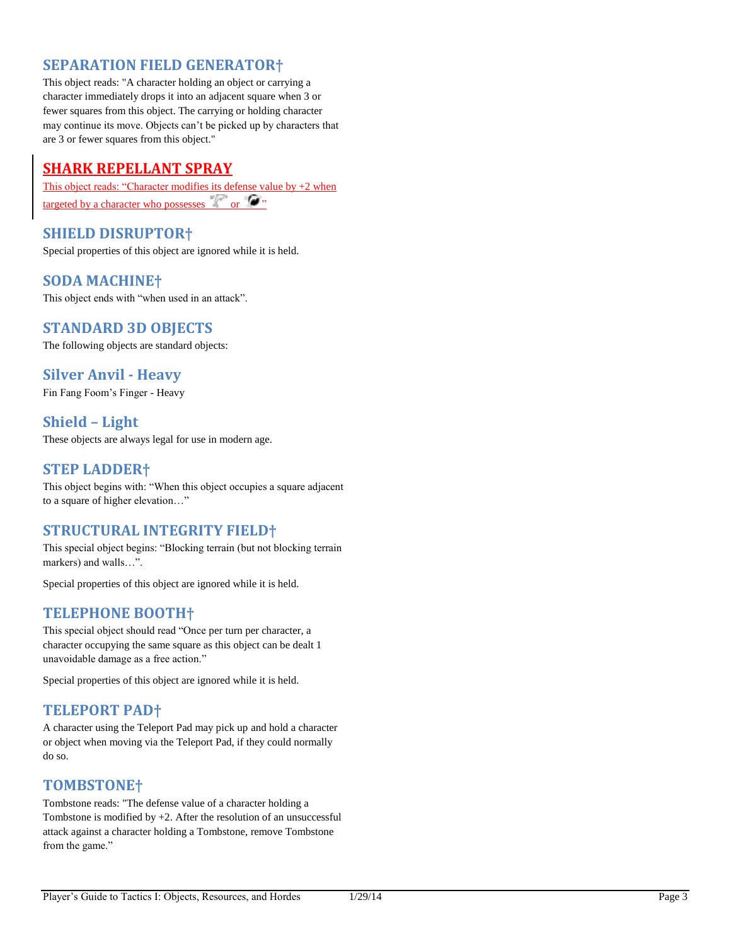### **SEPARATION FIELD GENERATOR†**

This object reads: "A character holding an object or carrying a character immediately drops it into an adjacent square when 3 or fewer squares from this object. The carrying or holding character may continue its move. Objects can't be picked up by characters that are 3 or fewer squares from this object."

### **SHARK REPELLANT SPRAY**

This object reads: "Character modifies its defense value by +2 when targeted by a character who possesses  $\mathbb{R}^n$  or  $\mathbb{C}^n$ 

**SHIELD DISRUPTOR†**

Special properties of this object are ignored while it is held.

### **SODA MACHINE†**

This object ends with "when used in an attack".

### **STANDARD 3D OBJECTS**

The following objects are standard objects:

### **Silver Anvil - Heavy**

Fin Fang Foom's Finger - Heavy

### **Shield – Light**

These objects are always legal for use in modern age.

### **STEP LADDER†**

This object begins with: "When this object occupies a square adjacent to a square of higher elevation…"

### **STRUCTURAL INTEGRITY FIELD†**

This special object begins: "Blocking terrain (but not blocking terrain markers) and walls…".

Special properties of this object are ignored while it is held.

### **TELEPHONE BOOTH†**

This special object should read "Once per turn per character, a character occupying the same square as this object can be dealt 1 unavoidable damage as a free action."

Special properties of this object are ignored while it is held.

### **TELEPORT PAD†**

A character using the Teleport Pad may pick up and hold a character or object when moving via the Teleport Pad, if they could normally do so.

### **TOMBSTONE†**

Tombstone reads: "The defense value of a character holding a Tombstone is modified by  $+2$ . After the resolution of an unsuccessful attack against a character holding a Tombstone, remove Tombstone from the game."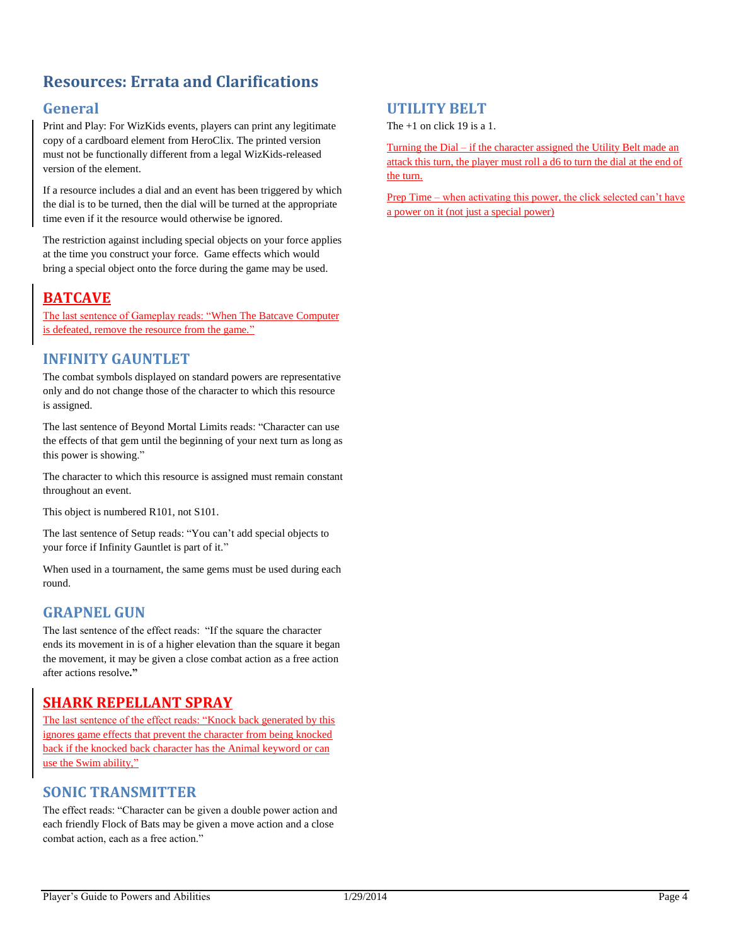## <span id="page-4-0"></span>**Resources: Errata and Clarifications**

### **General**

Print and Play: For WizKids events, players can print any legitimate copy of a cardboard element from HeroClix. The printed version must not be functionally different from a legal WizKids-released version of the element.

If a resource includes a dial and an event has been triggered by which the dial is to be turned, then the dial will be turned at the appropriate time even if it the resource would otherwise be ignored.

The restriction against including special objects on your force applies at the time you construct your force. Game effects which would bring a special object onto the force during the game may be used.

## **BATCAVE**

The last sentence of Gameplay reads: "When The Batcave Computer is defeated, remove the resource from the game."

### **INFINITY GAUNTLET**

The combat symbols displayed on standard powers are representative only and do not change those of the character to which this resource is assigned.

The last sentence of Beyond Mortal Limits reads: "Character can use the effects of that gem until the beginning of your next turn as long as this power is showing."

The character to which this resource is assigned must remain constant throughout an event.

This object is numbered R101, not S101.

The last sentence of Setup reads: "You can't add special objects to your force if Infinity Gauntlet is part of it."

When used in a tournament, the same gems must be used during each round.

### **GRAPNEL GUN**

The last sentence of the effect reads: "If the square the character ends its movement in is of a higher elevation than the square it began the movement, it may be given a close combat action as a free action after actions resolve**."**

## **SHARK REPELLANT SPRAY**

The last sentence of the effect reads: "Knock back generated by this ignores game effects that prevent the character from being knocked back if the knocked back character has the Animal keyword or can use the Swim ability,"

### **SONIC TRANSMITTER**

The effect reads: "Character can be given a double power action and each friendly Flock of Bats may be given a move action and a close combat action, each as a free action."

### **UTILITY BELT**

The  $+1$  on click 19 is a 1.

Turning the Dial – if the character assigned the Utility Belt made an attack this turn, the player must roll a d6 to turn the dial at the end of the turn.

Prep Time – when activating this power, the click selected can't have a power on it (not just a special power)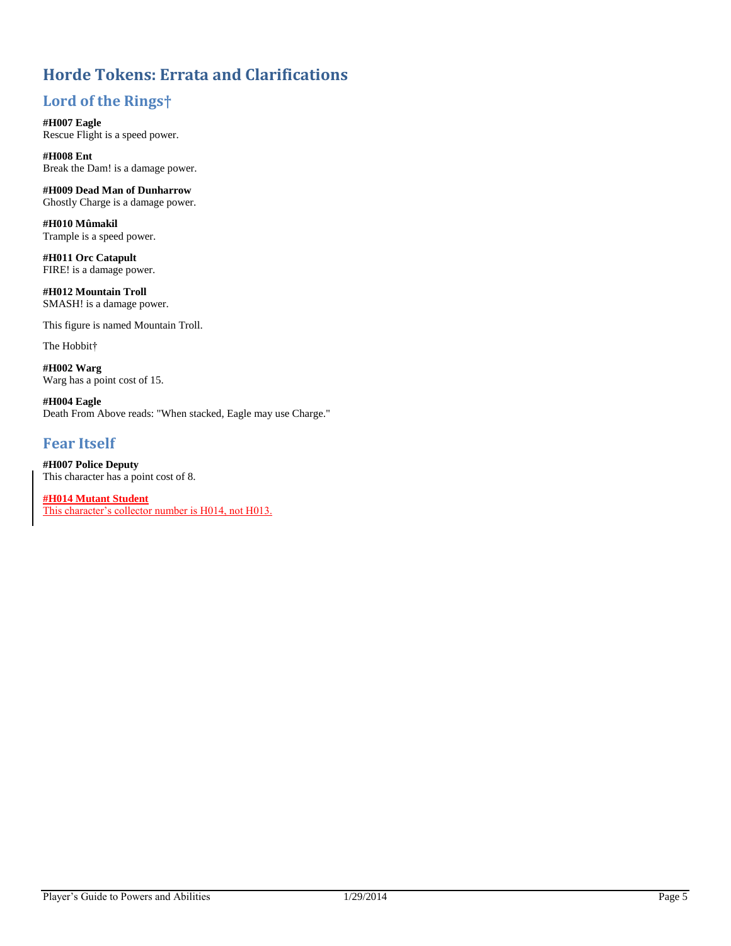## <span id="page-5-0"></span>**Horde Tokens: Errata and Clarifications**

## **Lord of the Rings†**

**#H007 Eagle** Rescue Flight is a speed power.

**#H008 Ent** Break the Dam! is a damage power.

**#H009 Dead Man of Dunharrow** Ghostly Charge is a damage power.

**#H010 Mûmakil** Trample is a speed power.

**#H011 Orc Catapult** FIRE! is a damage power.

**#H012 Mountain Troll** SMASH! is a damage power.

This figure is named Mountain Troll.

The Hobbit†

**#H002 Warg** Warg has a point cost of 15.

**#H004 Eagle** Death From Above reads: "When stacked, Eagle may use Charge."

### **Fear Itself**

**#H007 Police Deputy** This character has a point cost of 8.

**#H014 Mutant Student** This character's collector number is H014, not H013.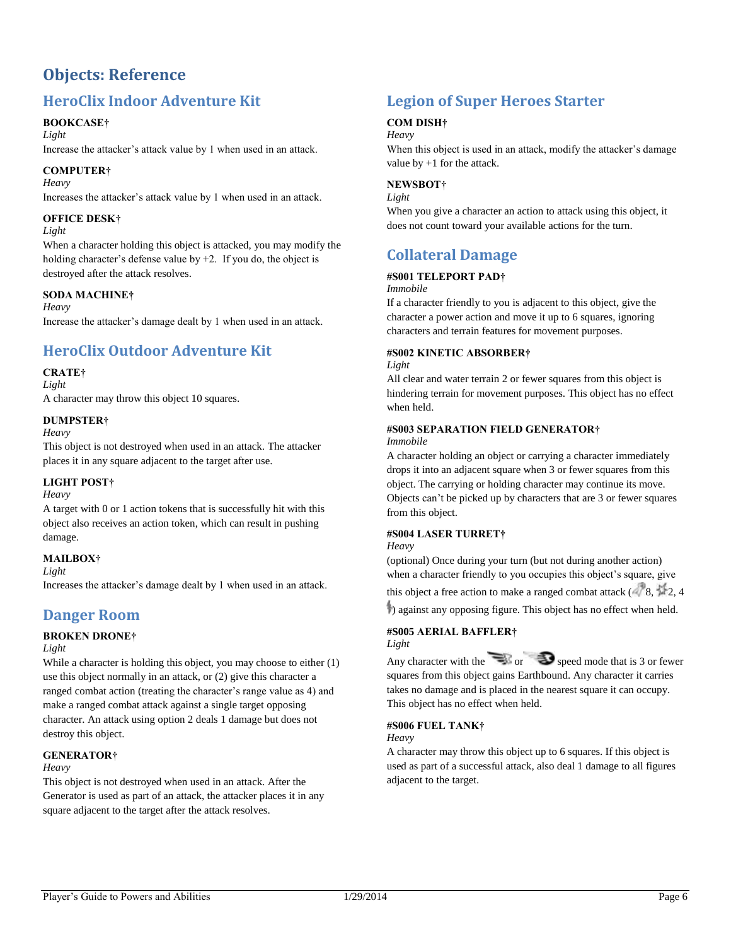## <span id="page-6-0"></span>**Objects: Reference**

## **HeroClix Indoor Adventure Kit**

### **BOOKCASE†**

*Light*

Increase the attacker's attack value by 1 when used in an attack.

### **COMPUTER†**

*Heavy*

Increases the attacker's attack value by 1 when used in an attack.

### **OFFICE DESK†**

### *Light*

When a character holding this object is attacked, you may modify the holding character's defense value by  $+2$ . If you do, the object is destroyed after the attack resolves.

### **SODA MACHINE†**

*Heavy*

Increase the attacker's damage dealt by 1 when used in an attack.

## **HeroClix Outdoor Adventure Kit**

### **CRATE†**

*Light*

A character may throw this object 10 squares.

#### **DUMPSTER†**

*Heavy*

This object is not destroyed when used in an attack. The attacker places it in any square adjacent to the target after use.

### **LIGHT POST†**

*Heavy*

A target with 0 or 1 action tokens that is successfully hit with this object also receives an action token, which can result in pushing damage.

### **MAILBOX†**

*Light*

Increases the attacker's damage dealt by 1 when used in an attack.

## **Danger Room**

### **BROKEN DRONE†**

#### *Light*

While a character is holding this object, you may choose to either (1) use this object normally in an attack, or (2) give this character a ranged combat action (treating the character's range value as 4) and make a ranged combat attack against a single target opposing character. An attack using option 2 deals 1 damage but does not destroy this object.

### **GENERATOR†**

#### *Heavy*

This object is not destroyed when used in an attack. After the Generator is used as part of an attack, the attacker places it in any square adjacent to the target after the attack resolves.

## **Legion of Super Heroes Starter**

### **COM DISH†**

### *Heavy*

When this object is used in an attack, modify the attacker's damage value by +1 for the attack.

### **NEWSBOT†**

#### *Light*

When you give a character an action to attack using this object, it does not count toward your available actions for the turn.

## **Collateral Damage**

### **#S001 TELEPORT PAD†**

*Immobile*

If a character friendly to you is adjacent to this object, give the character a power action and move it up to 6 squares, ignoring characters and terrain features for movement purposes.

### **#S002 KINETIC ABSORBER†**

*Light*

All clear and water terrain 2 or fewer squares from this object is hindering terrain for movement purposes. This object has no effect when held.

#### **#S003 SEPARATION FIELD GENERATOR†**

#### *Immobile*

A character holding an object or carrying a character immediately drops it into an adjacent square when 3 or fewer squares from this object. The carrying or holding character may continue its move. Objects can't be picked up by characters that are 3 or fewer squares from this object.

### **#S004 LASER TURRET†**

#### *Heavy*

(optional) Once during your turn (but not during another action) when a character friendly to you occupies this object's square, give

this object a free action to make a ranged combat attack  $( 8, 2, 4)$ 

) against any opposing figure. This object has no effect when held.

#### **#S005 AERIAL BAFFLER†** *Light*

Any character with the  $\sum_{n=1}^{\infty}$  or  $\sum_{n=1}^{\infty}$  speed mode that is 3 or fewer squares from this object gains Earthbound. Any character it carries takes no damage and is placed in the nearest square it can occupy. This object has no effect when held.

### **#S006 FUEL TANK†**

*Heavy*

A character may throw this object up to 6 squares. If this object is used as part of a successful attack, also deal 1 damage to all figures adjacent to the target.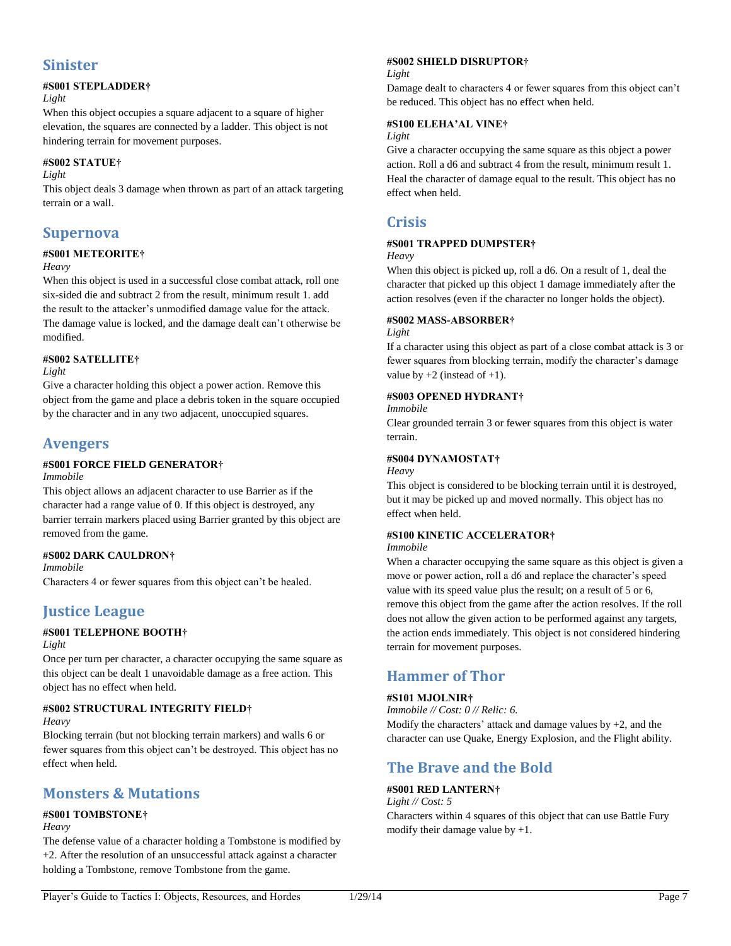### **Sinister**

### **#S001 STEPLADDER†**

#### *Light*

When this object occupies a square adjacent to a square of higher elevation, the squares are connected by a ladder. This object is not hindering terrain for movement purposes.

#### **#S002 STATUE†**

*Light*

This object deals 3 damage when thrown as part of an attack targeting terrain or a wall.

### **Supernova**

## **#S001 METEORITE†**

*Heavy*

When this object is used in a successful close combat attack, roll one six-sided die and subtract 2 from the result, minimum result 1. add the result to the attacker's unmodified damage value for the attack. The damage value is locked, and the damage dealt can't otherwise be modified.

### **#S002 SATELLITE†**

*Light*

Give a character holding this object a power action. Remove this object from the game and place a debris token in the square occupied by the character and in any two adjacent, unoccupied squares.

### **Avengers**

### **#S001 FORCE FIELD GENERATOR†**

#### *Immobile*

This object allows an adjacent character to use Barrier as if the character had a range value of 0. If this object is destroyed, any barrier terrain markers placed using Barrier granted by this object are removed from the game.

### **#S002 DARK CAULDRON†**

*Immobile*

Characters 4 or fewer squares from this object can't be healed.

## **Justice League**

### **#S001 TELEPHONE BOOTH†**

#### *Light*

Once per turn per character, a character occupying the same square as this object can be dealt 1 unavoidable damage as a free action. This object has no effect when held.

### **#S002 STRUCTURAL INTEGRITY FIELD†**

#### *Heavy*

Blocking terrain (but not blocking terrain markers) and walls 6 or fewer squares from this object can't be destroyed. This object has no effect when held.

### **Monsters & Mutations**

### **#S001 TOMBSTONE†**

#### *Heavy*

The defense value of a character holding a Tombstone is modified by +2. After the resolution of an unsuccessful attack against a character holding a Tombstone, remove Tombstone from the game.

### **#S002 SHIELD DISRUPTOR†**

#### *Light*

Damage dealt to characters 4 or fewer squares from this object can't be reduced. This object has no effect when held.

#### **#S100 ELEHA'AL VINE†**

### *Light*

Give a character occupying the same square as this object a power action. Roll a d6 and subtract 4 from the result, minimum result 1. Heal the character of damage equal to the result. This object has no effect when held.

### **Crisis**

### **#S001 TRAPPED DUMPSTER†**

#### *Heavy*

When this object is picked up, roll a d6. On a result of 1, deal the character that picked up this object 1 damage immediately after the action resolves (even if the character no longer holds the object).

#### **#S002 MASS-ABSORBER†**

#### *Light*

If a character using this object as part of a close combat attack is 3 or fewer squares from blocking terrain, modify the character's damage value by  $+2$  (instead of  $+1$ ).

### **#S003 OPENED HYDRANT†**

#### *Immobile*

Clear grounded terrain 3 or fewer squares from this object is water terrain.

### **#S004 DYNAMOSTAT†**

#### *Heavy*

This object is considered to be blocking terrain until it is destroyed, but it may be picked up and moved normally. This object has no effect when held.

### **#S100 KINETIC ACCELERATOR†**

#### *Immobile*

When a character occupying the same square as this object is given a move or power action, roll a d6 and replace the character's speed value with its speed value plus the result; on a result of 5 or 6, remove this object from the game after the action resolves. If the roll does not allow the given action to be performed against any targets, the action ends immediately. This object is not considered hindering terrain for movement purposes.

## **Hammer of Thor**

### **#S101 MJOLNIR†**

*Immobile // Cost: 0 // Relic: 6.* Modify the characters' attack and damage values by  $+2$ , and the character can use Quake, Energy Explosion, and the Flight ability.

## **The Brave and the Bold**

### **#S001 RED LANTERN†**

### *Light // Cost: 5*

Characters within 4 squares of this object that can use Battle Fury modify their damage value by  $+1$ .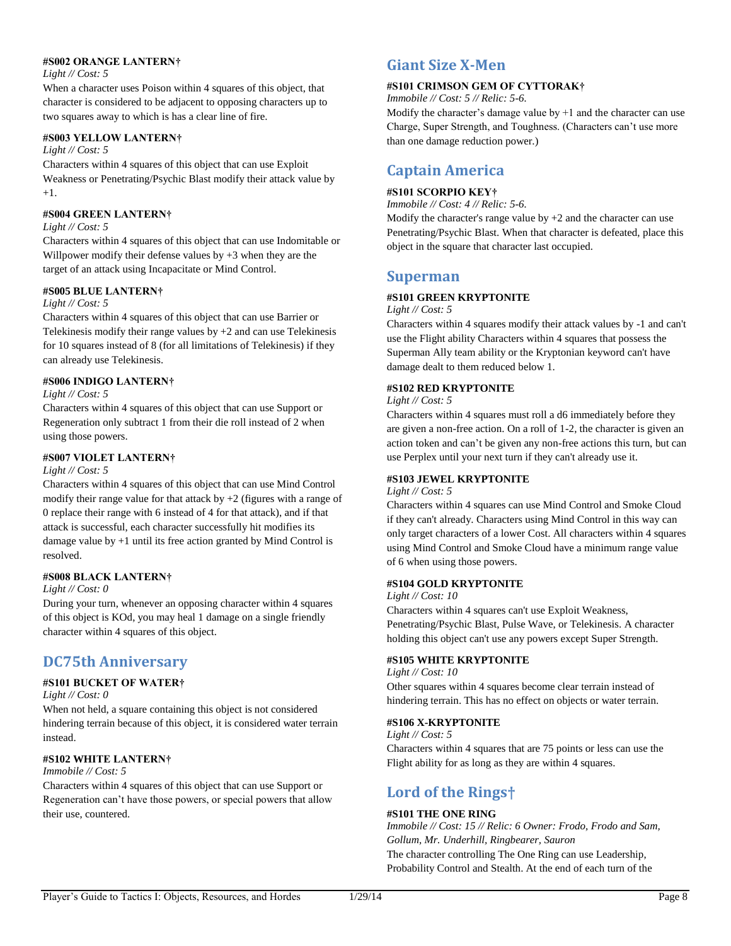#### **#S002 ORANGE LANTERN†**

#### *Light // Cost: 5*

When a character uses Poison within 4 squares of this object, that character is considered to be adjacent to opposing characters up to two squares away to which is has a clear line of fire.

#### **#S003 YELLOW LANTERN†**

#### *Light // Cost: 5*

Characters within 4 squares of this object that can use Exploit Weakness or Penetrating/Psychic Blast modify their attack value by +1.

#### **#S004 GREEN LANTERN†**

#### *Light // Cost: 5*

Characters within 4 squares of this object that can use Indomitable or Willpower modify their defense values by +3 when they are the target of an attack using Incapacitate or Mind Control.

#### **#S005 BLUE LANTERN†**

#### *Light // Cost: 5*

Characters within 4 squares of this object that can use Barrier or Telekinesis modify their range values by  $+2$  and can use Telekinesis for 10 squares instead of 8 (for all limitations of Telekinesis) if they can already use Telekinesis.

#### **#S006 INDIGO LANTERN†**

#### *Light // Cost: 5*

Characters within 4 squares of this object that can use Support or Regeneration only subtract 1 from their die roll instead of 2 when using those powers.

### **#S007 VIOLET LANTERN†**

#### *Light // Cost: 5*

Characters within 4 squares of this object that can use Mind Control modify their range value for that attack by +2 (figures with a range of 0 replace their range with 6 instead of 4 for that attack), and if that attack is successful, each character successfully hit modifies its damage value by +1 until its free action granted by Mind Control is resolved.

#### **#S008 BLACK LANTERN†**

#### *Light // Cost: 0*

During your turn, whenever an opposing character within 4 squares of this object is KOd, you may heal 1 damage on a single friendly character within 4 squares of this object.

### **DC75th Anniversary**

### **#S101 BUCKET OF WATER†**

### *Light // Cost: 0*

When not held, a square containing this object is not considered hindering terrain because of this object, it is considered water terrain instead.

### **#S102 WHITE LANTERN†**

#### *Immobile // Cost: 5*

Characters within 4 squares of this object that can use Support or Regeneration can't have those powers, or special powers that allow their use, countered.

### **Giant Size X-Men**

### **#S101 CRIMSON GEM OF CYTTORAK†**

*Immobile // Cost: 5 // Relic: 5-6.*

Modify the character's damage value by  $+1$  and the character can use Charge, Super Strength, and Toughness. (Characters can't use more than one damage reduction power.)

### **Captain America**

#### **#S101 SCORPIO KEY†**

*Immobile // Cost: 4 // Relic: 5-6.*

Modify the character's range value by  $+2$  and the character can use Penetrating/Psychic Blast. When that character is defeated, place this object in the square that character last occupied.

### **Superman**

### **#S101 GREEN KRYPTONITE**

#### *Light // Cost: 5*

Characters within 4 squares modify their attack values by -1 and can't use the Flight ability Characters within 4 squares that possess the Superman Ally team ability or the Kryptonian keyword can't have damage dealt to them reduced below 1.

### **#S102 RED KRYPTONITE**

#### *Light // Cost: 5*

Characters within 4 squares must roll a d6 immediately before they are given a non-free action. On a roll of 1-2, the character is given an action token and can't be given any non-free actions this turn, but can use Perplex until your next turn if they can't already use it.

#### **#S103 JEWEL KRYPTONITE**

#### *Light // Cost: 5*

Characters within 4 squares can use Mind Control and Smoke Cloud if they can't already. Characters using Mind Control in this way can only target characters of a lower Cost. All characters within 4 squares using Mind Control and Smoke Cloud have a minimum range value of 6 when using those powers.

#### **#S104 GOLD KRYPTONITE**

#### *Light // Cost: 10*

Characters within 4 squares can't use Exploit Weakness, Penetrating/Psychic Blast, Pulse Wave, or Telekinesis. A character holding this object can't use any powers except Super Strength.

### **#S105 WHITE KRYPTONITE**

#### *Light // Cost: 10*

Other squares within 4 squares become clear terrain instead of hindering terrain. This has no effect on objects or water terrain.

#### **#S106 X-KRYPTONITE**

#### *Light // Cost: 5*

Characters within 4 squares that are 75 points or less can use the Flight ability for as long as they are within 4 squares.

## **Lord of the Rings†**

#### **#S101 THE ONE RING**

*Immobile // Cost: 15 // Relic: 6 Owner: Frodo, Frodo and Sam, Gollum, Mr. Underhill, Ringbearer, Sauron* The character controlling The One Ring can use Leadership, Probability Control and Stealth. At the end of each turn of the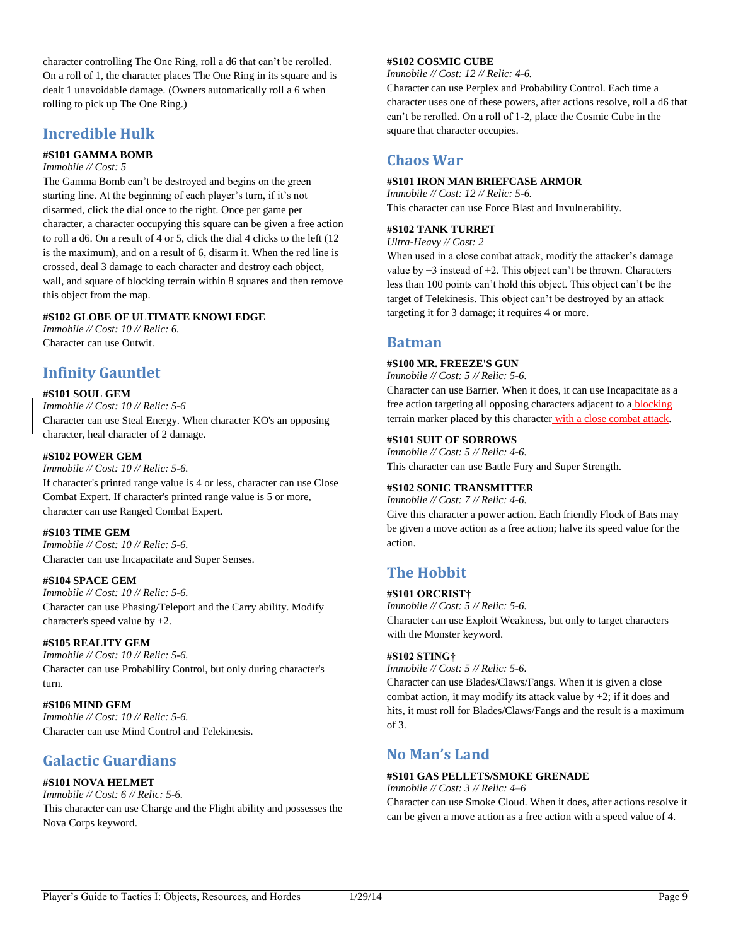character controlling The One Ring, roll a d6 that can't be rerolled. On a roll of 1, the character places The One Ring in its square and is dealt 1 unavoidable damage. (Owners automatically roll a 6 when rolling to pick up The One Ring.)

### **Incredible Hulk**

### **#S101 GAMMA BOMB**

*Immobile // Cost: 5*

The Gamma Bomb can't be destroyed and begins on the green starting line. At the beginning of each player's turn, if it's not disarmed, click the dial once to the right. Once per game per character, a character occupying this square can be given a free action to roll a d6. On a result of 4 or 5, click the dial 4 clicks to the left (12 is the maximum), and on a result of 6, disarm it. When the red line is crossed, deal 3 damage to each character and destroy each object, wall, and square of blocking terrain within 8 squares and then remove this object from the map.

### **#S102 GLOBE OF ULTIMATE KNOWLEDGE**

*Immobile // Cost: 10 // Relic: 6.* Character can use Outwit.

## **Infinity Gauntlet**

#### **#S101 SOUL GEM**

*Immobile // Cost: 10 // Relic: 5-6* Character can use Steal Energy. When character KO's an opposing character, heal character of 2 damage.

### **#S102 POWER GEM**

*Immobile // Cost: 10 // Relic: 5-6.* If character's printed range value is 4 or less, character can use Close Combat Expert. If character's printed range value is 5 or more, character can use Ranged Combat Expert.

### **#S103 TIME GEM**

*Immobile // Cost: 10 // Relic: 5-6.* Character can use Incapacitate and Super Senses.

### **#S104 SPACE GEM**

*Immobile // Cost: 10 // Relic: 5-6.* Character can use Phasing/Teleport and the Carry ability. Modify character's speed value by +2.

### **#S105 REALITY GEM**

*Immobile // Cost: 10 // Relic: 5-6.* Character can use Probability Control, but only during character's turn.

### **#S106 MIND GEM**

*Immobile // Cost: 10 // Relic: 5-6.* Character can use Mind Control and Telekinesis.

## **Galactic Guardians**

### **#S101 NOVA HELMET**

*Immobile // Cost: 6 // Relic: 5-6.* This character can use Charge and the Flight ability and possesses the Nova Corps keyword.

### **#S102 COSMIC CUBE**

*Immobile // Cost: 12 // Relic: 4-6.*

Character can use Perplex and Probability Control. Each time a character uses one of these powers, after actions resolve, roll a d6 that can't be rerolled. On a roll of 1-2, place the Cosmic Cube in the square that character occupies.

### **Chaos War**

### **#S101 IRON MAN BRIEFCASE ARMOR**

*Immobile // Cost: 12 // Relic: 5-6.* This character can use Force Blast and Invulnerability.

### **#S102 TANK TURRET**

*Ultra-Heavy // Cost: 2*

When used in a close combat attack, modify the attacker's damage value by  $+3$  instead of  $+2$ . This object can't be thrown. Characters less than 100 points can't hold this object. This object can't be the target of Telekinesis. This object can't be destroyed by an attack targeting it for 3 damage; it requires 4 or more.

### **Batman**

#### **#S100 MR. FREEZE'S GUN**

*Immobile // Cost: 5 // Relic: 5-6.*

Character can use Barrier. When it does, it can use Incapacitate as a free action targeting all opposing characters adjacent to a **blocking** terrain marker placed by this character with a close combat attack.

### **#S101 SUIT OF SORROWS**

*Immobile // Cost: 5 // Relic: 4-6.* This character can use Battle Fury and Super Strength.

### **#S102 SONIC TRANSMITTER**

*Immobile // Cost: 7 // Relic: 4-6.*

Give this character a power action. Each friendly Flock of Bats may be given a move action as a free action; halve its speed value for the action.

## **The Hobbit**

### **#S101 ORCRIST†**

*Immobile // Cost: 5 // Relic: 5-6.* Character can use Exploit Weakness, but only to target characters with the Monster keyword.

### **#S102 STING†**

*Immobile // Cost: 5 // Relic: 5-6.*

Character can use Blades/Claws/Fangs. When it is given a close combat action, it may modify its attack value by  $+2$ ; if it does and hits, it must roll for Blades/Claws/Fangs and the result is a maximum of 3.

### **No Man's Land**

### **#S101 GAS PELLETS/SMOKE GRENADE**

*Immobile // Cost: 3 // Relic: 4–6* Character can use Smoke Cloud. When it does, after actions resolve it can be given a move action as a free action with a speed value of 4.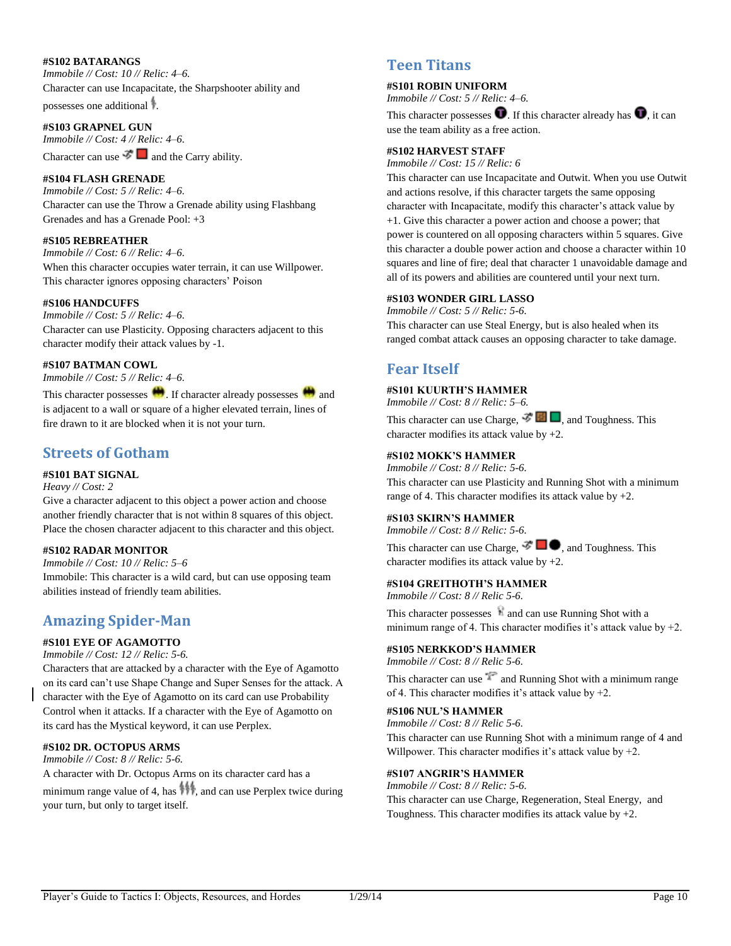#### **#S102 BATARANGS**

*Immobile // Cost: 10 // Relic: 4–6.* Character can use Incapacitate, the Sharpshooter ability and

possesses one additional .

#### **#S103 GRAPNEL GUN**

*Immobile // Cost: 4 // Relic: 4–6.* Character can use  $\mathcal{F}$  and the Carry ability.

**#S104 FLASH GRENADE**

*Immobile // Cost: 5 // Relic: 4–6.* Character can use the Throw a Grenade ability using Flashbang Grenades and has a Grenade Pool: +3

#### **#S105 REBREATHER**

*Immobile // Cost: 6 // Relic: 4–6.* When this character occupies water terrain, it can use Willpower. This character ignores opposing characters' Poison

#### **#S106 HANDCUFFS**

*Immobile // Cost: 5 // Relic: 4–6.* Character can use Plasticity. Opposing characters adjacent to this character modify their attack values by -1.

#### **#S107 BATMAN COWL**

*Immobile // Cost: 5 // Relic: 4–6.*

This character possesses  $\blacksquare$ . If character already possesses  $\blacksquare$  and is adjacent to a wall or square of a higher elevated terrain, lines of fire drawn to it are blocked when it is not your turn.

### **Streets of Gotham**

### **#S101 BAT SIGNAL**

### *Heavy // Cost: 2*

Give a character adjacent to this object a power action and choose another friendly character that is not within 8 squares of this object. Place the chosen character adjacent to this character and this object.

### **#S102 RADAR MONITOR**

*Immobile // Cost: 10 // Relic: 5–6* Immobile: This character is a wild card, but can use opposing team abilities instead of friendly team abilities.

## **Amazing Spider-Man**

### **#S101 EYE OF AGAMOTTO**

*Immobile // Cost: 12 // Relic: 5-6.*

Characters that are attacked by a character with the Eye of Agamotto on its card can't use Shape Change and Super Senses for the attack. A character with the Eye of Agamotto on its card can use Probability Control when it attacks. If a character with the Eye of Agamotto on its card has the Mystical keyword, it can use Perplex.

### **#S102 DR. OCTOPUS ARMS**

*Immobile // Cost: 8 // Relic: 5-6.*

A character with Dr. Octopus Arms on its character card has a minimum range value of 4, has  $\mathbf{m}$ , and can use Perplex twice during your turn, but only to target itself.

### **Teen Titans**

#### **#S101 ROBIN UNIFORM**

*Immobile // Cost: 5 // Relic: 4–6.*

This character possesses  $\bullet$ . If this character already has  $\bullet$ , it can use the team ability as a free action.

### **#S102 HARVEST STAFF**

*Immobile // Cost: 15 // Relic: 6*

This character can use Incapacitate and Outwit. When you use Outwit and actions resolve, if this character targets the same opposing character with Incapacitate, modify this character's attack value by +1. Give this character a power action and choose a power; that power is countered on all opposing characters within 5 squares. Give this character a double power action and choose a character within 10 squares and line of fire; deal that character 1 unavoidable damage and all of its powers and abilities are countered until your next turn.

#### **#S103 WONDER GIRL LASSO**

*Immobile // Cost: 5 // Relic: 5-6.*

This character can use Steal Energy, but is also healed when its ranged combat attack causes an opposing character to take damage.

## **Fear Itself**

#### **#S101 KUURTH'S HAMMER**

*Immobile // Cost: 8 // Relic: 5–6.*

This character can use Charge,  $\mathcal{F} \Box$  and Toughness. This character modifies its attack value by +2.

### **#S102 MOKK'S HAMMER**

*Immobile // Cost: 8 // Relic: 5-6.* This character can use Plasticity and Running Shot with a minimum range of 4. This character modifies its attack value by  $+2$ .

#### **#S103 SKIRN'S HAMMER**

*Immobile // Cost: 8 // Relic: 5-6.*

This character can use Charge,  $\mathcal{F} \Box \blacklozenge$ , and Toughness. This character modifies its attack value by  $+2$ .

### **#S104 GREITHOTH'S HAMMER**

*Immobile // Cost: 8 // Relic 5-6.*

This character possesses **a** and can use Running Shot with a minimum range of 4. This character modifies it's attack value by +2.

### **#S105 NERKKOD'S HAMMER**

*Immobile // Cost: 8 // Relic 5-6.*

This character can use  $\mathbb{R}$  and Running Shot with a minimum range of 4. This character modifies it's attack value by +2.

**#S106 NUL'S HAMMER**

*Immobile // Cost: 8 // Relic 5-6.* This character can use Running Shot with a minimum range of 4 and Willpower. This character modifies it's attack value by  $+2$ .

#### **#S107 ANGRIR'S HAMMER**

*Immobile // Cost: 8 // Relic: 5-6.* This character can use Charge, Regeneration, Steal Energy, and Toughness. This character modifies its attack value by  $+2$ .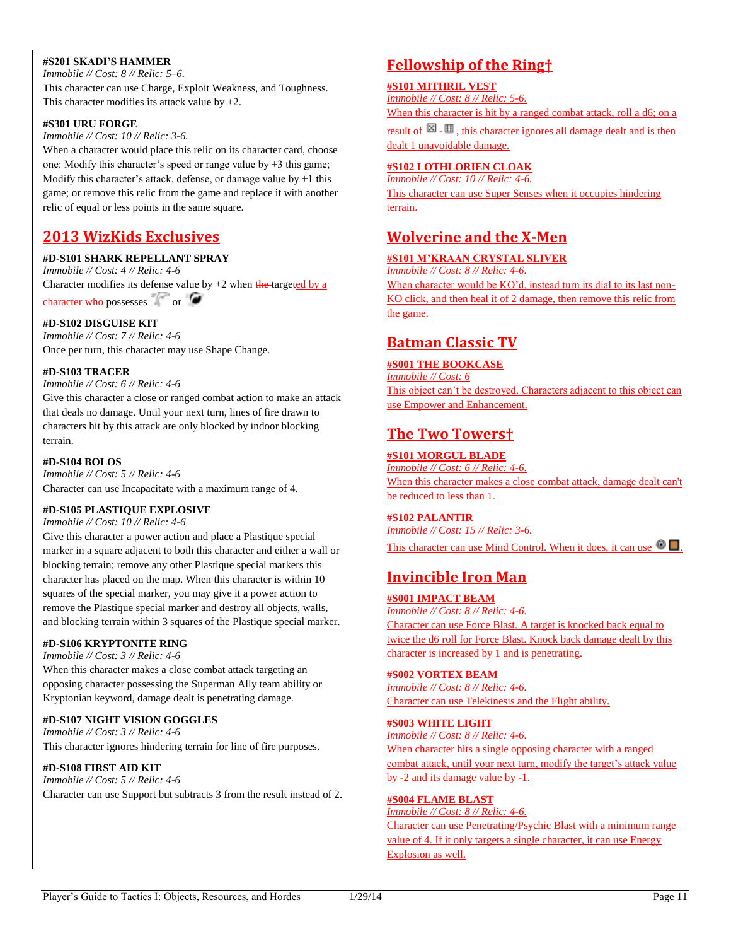### **#S201 SKADI'S HAMMER**

*Immobile // Cost: 8 // Relic: 5–6.* This character can use Charge, Exploit Weakness, and Toughness. This character modifies its attack value by  $+2$ .

#### **#S301 URU FORGE**

*Immobile // Cost: 10 // Relic: 3-6.*

When a character would place this relic on its character card, choose one: Modify this character's speed or range value by +3 this game; Modify this character's attack, defense, or damage value by  $+1$  this game; or remove this relic from the game and replace it with another relic of equal or less points in the same square.

## **2013 WizKids Exclusives**

### **#D-S101 SHARK REPELLANT SPRAY**

*Immobile // Cost: 4 // Relic: 4-6* Character modifies its defense value by  $+2$  when the targeted by a character who possesses  $\sim$  or  $\bullet$ 

**#D-S102 DISGUISE KIT**

*Immobile // Cost: 7 // Relic: 4-6* Once per turn, this character may use Shape Change.

#### **#D-S103 TRACER**

*Immobile // Cost: 6 // Relic: 4-6*

Give this character a close or ranged combat action to make an attack that deals no damage. Until your next turn, lines of fire drawn to characters hit by this attack are only blocked by indoor blocking terrain.

#### **#D-S104 BOLOS**

*Immobile // Cost: 5 // Relic: 4-6* Character can use Incapacitate with a maximum range of 4.

### **#D-S105 PLASTIQUE EXPLOSIVE**

*Immobile // Cost: 10 // Relic: 4-6*

Give this character a power action and place a Plastique special marker in a square adjacent to both this character and either a wall or blocking terrain; remove any other Plastique special markers this character has placed on the map. When this character is within 10 squares of the special marker, you may give it a power action to remove the Plastique special marker and destroy all objects, walls, and blocking terrain within 3 squares of the Plastique special marker.

### **#D-S106 KRYPTONITE RING**

*Immobile // Cost: 3 // Relic: 4-6*

When this character makes a close combat attack targeting an opposing character possessing the Superman Ally team ability or Kryptonian keyword, damage dealt is penetrating damage.

### **#D-S107 NIGHT VISION GOGGLES**

*Immobile // Cost: 3 // Relic: 4-6* This character ignores hindering terrain for line of fire purposes.

### **#D-S108 FIRST AID KIT**

*Immobile // Cost: 5 // Relic: 4-6* Character can use Support but subtracts 3 from the result instead of 2.

## **Fellowship of the Ring†**

### **#S101 MITHRIL VEST**

*Immobile // Cost: 8 // Relic: 5-6.*

When this character is hit by a ranged combat attack, roll a d6; on a

result of  $\boxtimes$  -  $\boxplus$  , this character ignores all damage dealt and is then dealt 1 unavoidable damage.

### **#S102 LOTHLORIEN CLOAK**

*Immobile // Cost: 10 // Relic: 4-6.* This character can use Super Senses when it occupies hindering terrain.

## **Wolverine and the X-Men**

### **#S101 M'KRAAN CRYSTAL SLIVER**

*Immobile // Cost: 8 // Relic: 4-6.* When character would be KO'd, instead turn its dial to its last non-KO click, and then heal it of 2 damage, then remove this relic from the game.

### **Batman Classic TV**

### **#S001 THE BOOKCASE**

*Immobile // Cost: 6* This object can't be destroyed. Characters adjacent to this object can use Empower and Enhancement.

## **The Two Towers†**

**#S101 MORGUL BLADE** *Immobile // Cost: 6 // Relic: 4-6.* When this character makes a close combat attack, damage dealt can't be reduced to less than 1.

### **#S102 PALANTIR**

*Immobile // Cost: 15 // Relic: 3-6.* This character can use Mind Control. When it does, it can use  $\bullet \Box$ .

## **Invincible Iron Man**

### **#S001 IMPACT BEAM**

*Immobile // Cost: 8 // Relic: 4-6.* Character can use Force Blast. A target is knocked back equal to twice the d6 roll for Force Blast. Knock back damage dealt by this character is increased by 1 and is penetrating.

### **#S002 VORTEX BEAM**

*Immobile // Cost: 8 // Relic: 4-6.* Character can use Telekinesis and the Flight ability.

### **#S003 WHITE LIGHT**

*Immobile // Cost: 8 // Relic: 4-6.* When character hits a single opposing character with a ranged combat attack, until your next turn, modify the target's attack value by -2 and its damage value by -1.

### **#S004 FLAME BLAST**

*Immobile // Cost: 8 // Relic: 4-6.* Character can use Penetrating/Psychic Blast with a minimum range value of 4. If it only targets a single character, it can use Energy Explosion as well.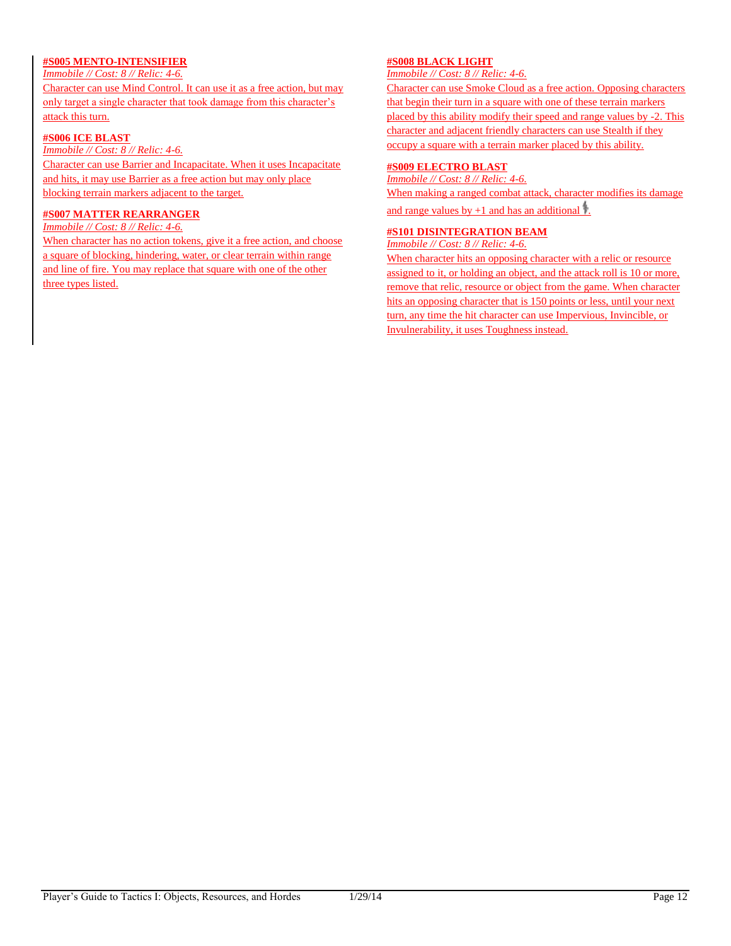### **#S005 MENTO-INTENSIFIER**

*Immobile // Cost: 8 // Relic: 4-6.*

Character can use Mind Control. It can use it as a free action, but may only target a single character that took damage from this character's attack this turn.

### **#S006 ICE BLAST**

*Immobile // Cost: 8 // Relic: 4-6.*

Character can use Barrier and Incapacitate. When it uses Incapacitate and hits, it may use Barrier as a free action but may only place blocking terrain markers adjacent to the target.

### **#S007 MATTER REARRANGER**

*Immobile // Cost: 8 // Relic: 4-6.*

When character has no action tokens, give it a free action, and choose a square of blocking, hindering, water, or clear terrain within range and line of fire. You may replace that square with one of the other three types listed.

### **#S008 BLACK LIGHT**

*Immobile // Cost: 8 // Relic: 4-6.*

Character can use Smoke Cloud as a free action. Opposing characters that begin their turn in a square with one of these terrain markers placed by this ability modify their speed and range values by -2. This character and adjacent friendly characters can use Stealth if they occupy a square with a terrain marker placed by this ability.

#### **#S009 ELECTRO BLAST**

*Immobile // Cost: 8 // Relic: 4-6.*

When making a ranged combat attack, character modifies its damage

and range values by  $+1$  and has an additional  $\ddagger$ .

### **#S101 DISINTEGRATION BEAM**

*Immobile // Cost: 8 // Relic: 4-6.*

When character hits an opposing character with a relic or resource assigned to it, or holding an object, and the attack roll is 10 or more, remove that relic, resource or object from the game. When character hits an opposing character that is 150 points or less, until your next turn, any time the hit character can use Impervious, Invincible, or Invulnerability, it uses Toughness instead.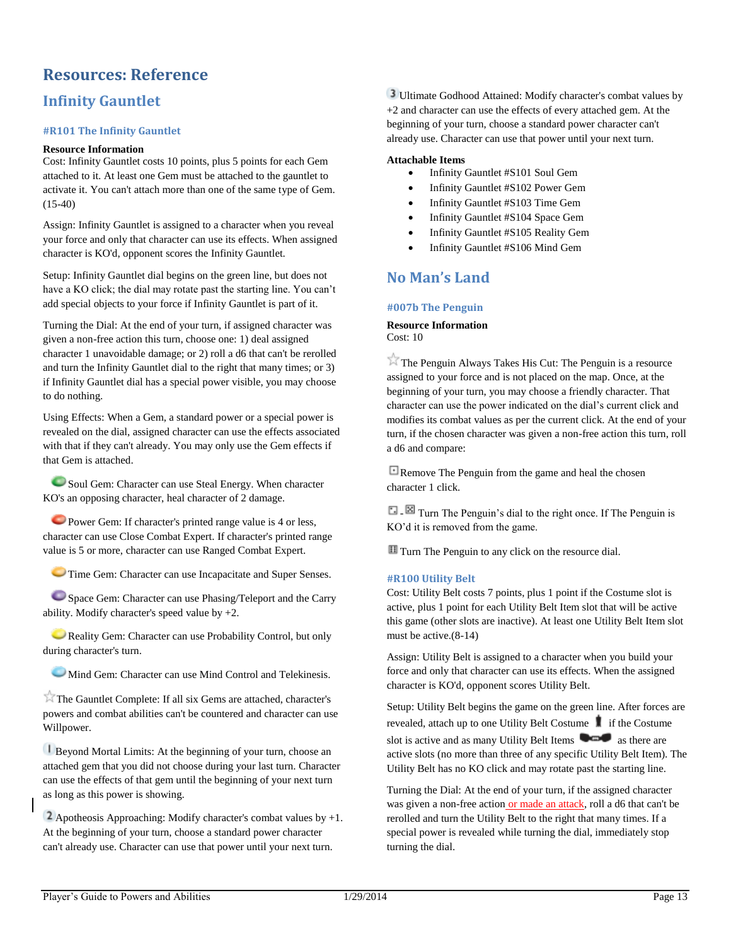## <span id="page-13-0"></span>**Resources: Reference**

## **Infinity Gauntlet**

### **#R101 The Infinity Gauntlet**

### **Resource Information**

Cost: Infinity Gauntlet costs 10 points, plus 5 points for each Gem attached to it. At least one Gem must be attached to the gauntlet to activate it. You can't attach more than one of the same type of Gem. (15-40)

Assign: Infinity Gauntlet is assigned to a character when you reveal your force and only that character can use its effects. When assigned character is KO'd, opponent scores the Infinity Gauntlet.

Setup: Infinity Gauntlet dial begins on the green line, but does not have a KO click; the dial may rotate past the starting line. You can't add special objects to your force if Infinity Gauntlet is part of it.

Turning the Dial: At the end of your turn, if assigned character was given a non-free action this turn, choose one: 1) deal assigned character 1 unavoidable damage; or 2) roll a d6 that can't be rerolled and turn the Infinity Gauntlet dial to the right that many times; or 3) if Infinity Gauntlet dial has a special power visible, you may choose to do nothing.

Using Effects: When a Gem, a standard power or a special power is revealed on the dial, assigned character can use the effects associated with that if they can't already. You may only use the Gem effects if that Gem is attached.

Soul Gem: Character can use Steal Energy. When character KO's an opposing character, heal character of 2 damage.

Power Gem: If character's printed range value is 4 or less, character can use Close Combat Expert. If character's printed range value is 5 or more, character can use Ranged Combat Expert.

**Time Gem: Character can use Incapacitate and Super Senses.** 

Space Gem: Character can use Phasing/Teleport and the Carry ability. Modify character's speed value by +2.

Reality Gem: Character can use Probability Control, but only during character's turn.

**Mind Gem: Character can use Mind Control and Telekinesis.** 

The Gauntlet Complete: If all six Gems are attached, character's powers and combat abilities can't be countered and character can use Willpower.

Beyond Mortal Limits: At the beginning of your turn, choose an attached gem that you did not choose during your last turn. Character can use the effects of that gem until the beginning of your next turn as long as this power is showing.

**2** Apotheosis Approaching: Modify character's combat values by  $+1$ . At the beginning of your turn, choose a standard power character can't already use. Character can use that power until your next turn.

Ultimate Godhood Attained: Modify character's combat values by +2 and character can use the effects of every attached gem. At the beginning of your turn, choose a standard power character can't already use. Character can use that power until your next turn.

#### **Attachable Items**

- Infinity Gauntlet #S101 Soul Gem
- Infinity Gauntlet #S102 Power Gem
- Infinity Gauntlet #S103 Time Gem
- Infinity Gauntlet #S104 Space Gem
- Infinity Gauntlet #S105 Reality Gem
- Infinity Gauntlet #S106 Mind Gem

## **No Man's Land**

#### **#007b The Penguin**

#### **Resource Information**  Cost: 10

The Penguin Always Takes His Cut: The Penguin is a resource assigned to your force and is not placed on the map. Once, at the beginning of your turn, you may choose a friendly character. That character can use the power indicated on the dial's current click and modifies its combat values as per the current click. At the end of your turn, if the chosen character was given a non-free action this turn, roll a d6 and compare:

**E** Remove The Penguin from the game and heal the chosen character 1 click.

T  $\Box$  Turn The Penguin's dial to the right once. If The Penguin is KO'd it is removed from the game.

**Turn** The Penguin to any click on the resource dial.

### **#R100 Utility Belt**

Cost: Utility Belt costs 7 points, plus 1 point if the Costume slot is active, plus 1 point for each Utility Belt Item slot that will be active this game (other slots are inactive). At least one Utility Belt Item slot must be active.(8-14)

Assign: Utility Belt is assigned to a character when you build your force and only that character can use its effects. When the assigned character is KO'd, opponent scores Utility Belt.

Setup: Utility Belt begins the game on the green line. After forces are revealed, attach up to one Utility Belt Costume **if** if the Costume slot is active and as many Utility Belt Items  $\bullet$  as there are active slots (no more than three of any specific Utility Belt Item). The Utility Belt has no KO click and may rotate past the starting line.

Turning the Dial: At the end of your turn, if the assigned character was given a non-free action or made an attack, roll a d6 that can't be rerolled and turn the Utility Belt to the right that many times. If a special power is revealed while turning the dial, immediately stop turning the dial.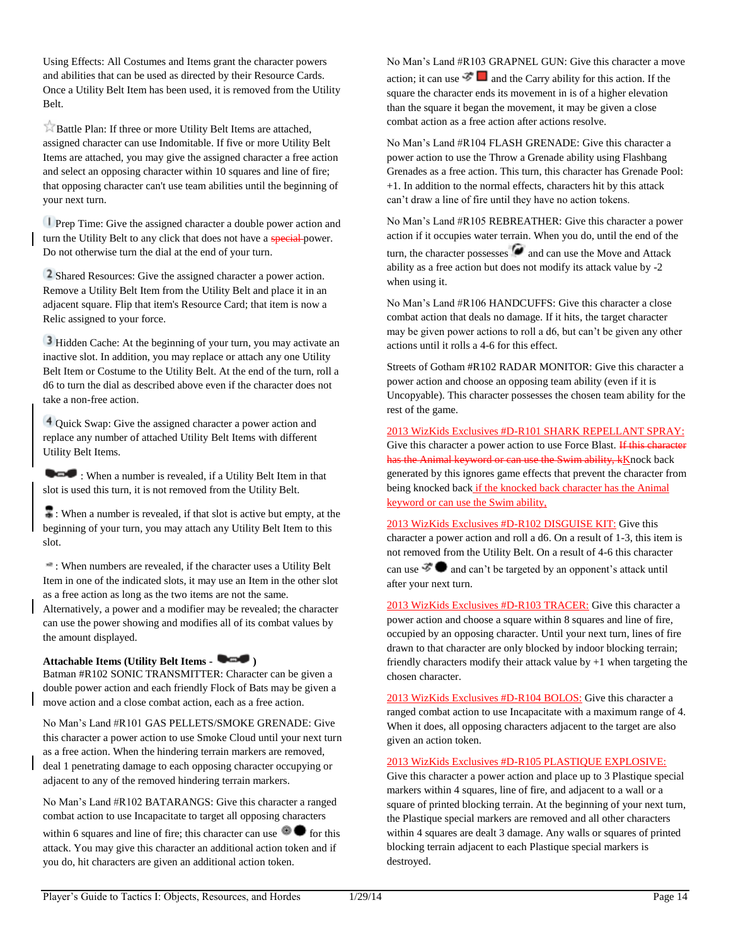Using Effects: All Costumes and Items grant the character powers and abilities that can be used as directed by their Resource Cards. Once a Utility Belt Item has been used, it is removed from the Utility Belt.

Battle Plan: If three or more Utility Belt Items are attached, assigned character can use Indomitable. If five or more Utility Belt Items are attached, you may give the assigned character a free action and select an opposing character within 10 squares and line of fire; that opposing character can't use team abilities until the beginning of your next turn.

**Prep Time:** Give the assigned character a double power action and turn the Utility Belt to any click that does not have a special-power. Do not otherwise turn the dial at the end of your turn.

<sup>2</sup> Shared Resources: Give the assigned character a power action. Remove a Utility Belt Item from the Utility Belt and place it in an adjacent square. Flip that item's Resource Card; that item is now a Relic assigned to your force.

<sup>3</sup> Hidden Cache: At the beginning of your turn, you may activate an inactive slot. In addition, you may replace or attach any one Utility Belt Item or Costume to the Utility Belt. At the end of the turn, roll a d6 to turn the dial as described above even if the character does not take a non-free action.

Quick Swap: Give the assigned character a power action and replace any number of attached Utility Belt Items with different Utility Belt Items.

When a number is revealed, if a Utility Belt Item in that slot is used this turn, it is not removed from the Utility Belt.

: When a number is revealed, if that slot is active but empty, at the beginning of your turn, you may attach any Utility Belt Item to this slot.

: When numbers are revealed, if the character uses a Utility Belt Item in one of the indicated slots, it may use an Item in the other slot as a free action as long as the two items are not the same.

Alternatively, a power and a modifier may be revealed; the character can use the power showing and modifies all of its combat values by the amount displayed.

### **Attachable Items (Utility Belt Items - )**

Batman #R102 SONIC TRANSMITTER: Character can be given a double power action and each friendly Flock of Bats may be given a move action and a close combat action, each as a free action.

No Man's Land #R101 GAS PELLETS/SMOKE GRENADE: Give this character a power action to use Smoke Cloud until your next turn as a free action. When the hindering terrain markers are removed, deal 1 penetrating damage to each opposing character occupying or adjacent to any of the removed hindering terrain markers.

No Man's Land #R102 BATARANGS: Give this character a ranged combat action to use Incapacitate to target all opposing characters within 6 squares and line of fire; this character can use  $\bullet$  for this attack. You may give this character an additional action token and if you do, hit characters are given an additional action token.

No Man's Land #R103 GRAPNEL GUN: Give this character a move action; it can use  $\mathbb{Z}^{\bullet}$  and the Carry ability for this action. If the square the character ends its movement in is of a higher elevation than the square it began the movement, it may be given a close combat action as a free action after actions resolve.

No Man's Land #R104 FLASH GRENADE: Give this character a power action to use the Throw a Grenade ability using Flashbang Grenades as a free action. This turn, this character has Grenade Pool: +1. In addition to the normal effects, characters hit by this attack can't draw a line of fire until they have no action tokens.

No Man's Land #R105 REBREATHER: Give this character a power action if it occupies water terrain. When you do, until the end of the turn, the character possesses  $\alpha$  and can use the Move and Attack ability as a free action but does not modify its attack value by -2 when using it.

No Man's Land #R106 HANDCUFFS: Give this character a close combat action that deals no damage. If it hits, the target character may be given power actions to roll a d6, but can't be given any other actions until it rolls a 4-6 for this effect.

Streets of Gotham #R102 RADAR MONITOR: Give this character a power action and choose an opposing team ability (even if it is Uncopyable). This character possesses the chosen team ability for the rest of the game.

2013 WizKids Exclusives #D-R101 SHARK REPELLANT SPRAY: Give this character a power action to use Force Blast. If this character has the Animal keyword or can use the Swim ability, kKnock back generated by this ignores game effects that prevent the character from being knocked back if the knocked back character has the Animal keyword or can use the Swim ability,

2013 WizKids Exclusives #D-R102 DISGUISE KIT: Give this character a power action and roll a d6. On a result of 1-3, this item is not removed from the Utility Belt. On a result of 4-6 this character can use  $\mathcal{F}$  and can't be targeted by an opponent's attack until after your next turn.

2013 WizKids Exclusives #D-R103 TRACER: Give this character a power action and choose a square within 8 squares and line of fire, occupied by an opposing character. Until your next turn, lines of fire drawn to that character are only blocked by indoor blocking terrain; friendly characters modify their attack value by  $+1$  when targeting the chosen character.

2013 WizKids Exclusives #D-R104 BOLOS: Give this character a ranged combat action to use Incapacitate with a maximum range of 4. When it does, all opposing characters adjacent to the target are also given an action token.

2013 WizKids Exclusives #D-R105 PLASTIQUE EXPLOSIVE:

Give this character a power action and place up to 3 Plastique special markers within 4 squares, line of fire, and adjacent to a wall or a square of printed blocking terrain. At the beginning of your next turn, the Plastique special markers are removed and all other characters within 4 squares are dealt 3 damage. Any walls or squares of printed blocking terrain adjacent to each Plastique special markers is destroyed.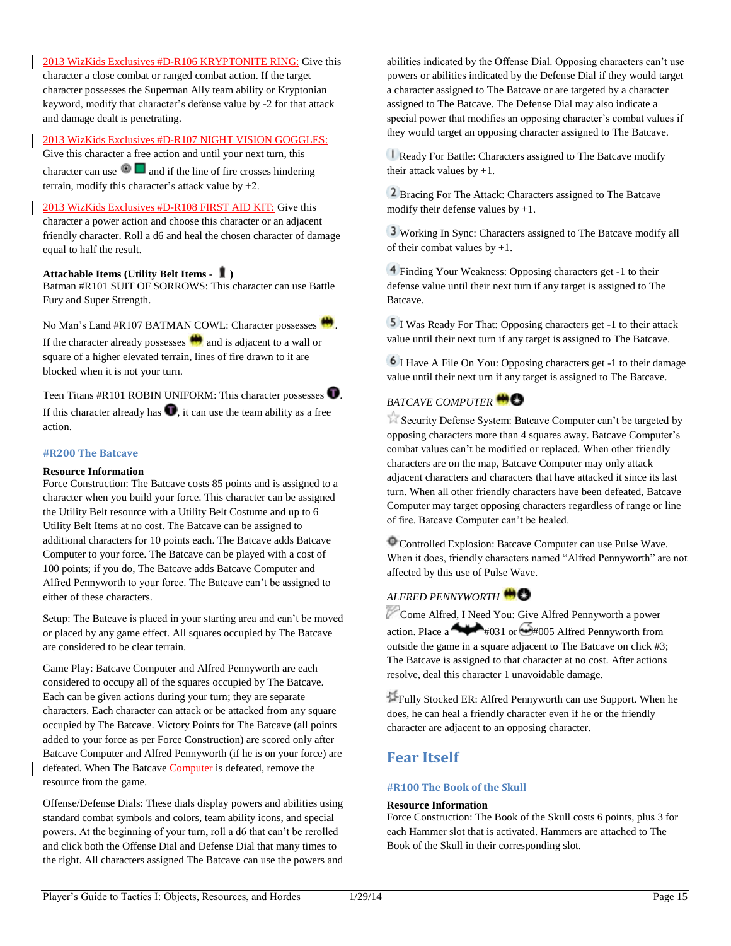2013 WizKids Exclusives #D-R106 KRYPTONITE RING: Give this character a close combat or ranged combat action. If the target character possesses the Superman Ally team ability or Kryptonian keyword, modify that character's defense value by -2 for that attack and damage dealt is penetrating.

### 2013 WizKids Exclusives #D-R107 NIGHT VISION GOGGLES:

Give this character a free action and until your next turn, this character can use  $\Box$  and if the line of fire crosses hindering terrain, modify this character's attack value by +2.

2013 WizKids Exclusives #D-R108 FIRST AID KIT: Give this character a power action and choose this character or an adjacent friendly character. Roll a d6 and heal the chosen character of damage equal to half the result.

### **Attachable Items (Utility Belt Items - )**

Batman #R101 SUIT OF SORROWS: This character can use Battle Fury and Super Strength.

No Man's Land #R107 BATMAN COWL: Character possesses ... If the character already possesses  $\bigoplus$  and is adjacent to a wall or square of a higher elevated terrain, lines of fire drawn to it are blocked when it is not your turn.

Teen Titans  $#R101$  ROBIN UNIFORM: This character possesses  $\bullet$ If this character already has  $\bullet$ , it can use the team ability as a free action.

#### **#R200 The Batcave**

#### **Resource Information**

Force Construction: The Batcave costs 85 points and is assigned to a character when you build your force. This character can be assigned the Utility Belt resource with a Utility Belt Costume and up to 6 Utility Belt Items at no cost. The Batcave can be assigned to additional characters for 10 points each. The Batcave adds Batcave Computer to your force. The Batcave can be played with a cost of 100 points; if you do, The Batcave adds Batcave Computer and Alfred Pennyworth to your force. The Batcave can't be assigned to either of these characters.

Setup: The Batcave is placed in your starting area and can't be moved or placed by any game effect. All squares occupied by The Batcave are considered to be clear terrain.

Game Play: Batcave Computer and Alfred Pennyworth are each considered to occupy all of the squares occupied by The Batcave. Each can be given actions during your turn; they are separate characters. Each character can attack or be attacked from any square occupied by The Batcave. Victory Points for The Batcave (all points added to your force as per Force Construction) are scored only after Batcave Computer and Alfred Pennyworth (if he is on your force) are defeated. When The Batcave **Computer** is defeated, remove the resource from the game.

Offense/Defense Dials: These dials display powers and abilities using standard combat symbols and colors, team ability icons, and special powers. At the beginning of your turn, roll a d6 that can't be rerolled and click both the Offense Dial and Defense Dial that many times to the right. All characters assigned The Batcave can use the powers and abilities indicated by the Offense Dial. Opposing characters can't use powers or abilities indicated by the Defense Dial if they would target a character assigned to The Batcave or are targeted by a character assigned to The Batcave. The Defense Dial may also indicate a special power that modifies an opposing character's combat values if they would target an opposing character assigned to The Batcave.

Ready For Battle: Characters assigned to The Batcave modify their attack values by  $+1$ .

<sup>2</sup> Bracing For The Attack: Characters assigned to The Batcave modify their defense values by +1.

Working In Sync: Characters assigned to The Batcave modify all of their combat values by +1.

Finding Your Weakness: Opposing characters get -1 to their defense value until their next turn if any target is assigned to The Batcave.

I Was Ready For That: Opposing characters get -1 to their attack value until their next turn if any target is assigned to The Batcave.

I Have A File On You: Opposing characters get -1 to their damage value until their next urn if any target is assigned to The Batcave.

### *BATCAVE COMPUTER*

Security Defense System: Batcave Computer can't be targeted by opposing characters more than 4 squares away. Batcave Computer's combat values can't be modified or replaced. When other friendly characters are on the map, Batcave Computer may only attack adjacent characters and characters that have attacked it since its last turn. When all other friendly characters have been defeated, Batcave Computer may target opposing characters regardless of range or line of fire. Batcave Computer can't be healed.

Controlled Explosion: Batcave Computer can use Pulse Wave. When it does, friendly characters named "Alfred Pennyworth" are not affected by this use of Pulse Wave.

### *ALFRED PENNYWORTH*

Come Alfred, I Need You: Give Alfred Pennyworth a power action. Place a  $\rightarrow$  #031 or  $\rightarrow$  #005 Alfred Pennyworth from outside the game in a square adjacent to The Batcave on click #3; The Batcave is assigned to that character at no cost. After actions resolve, deal this character 1 unavoidable damage.

Fully Stocked ER: Alfred Pennyworth can use Support. When he does, he can heal a friendly character even if he or the friendly character are adjacent to an opposing character.

### **Fear Itself**

#### **#R100 The Book of the Skull**

#### **Resource Information**

Force Construction: The Book of the Skull costs 6 points, plus 3 for each Hammer slot that is activated. Hammers are attached to The Book of the Skull in their corresponding slot.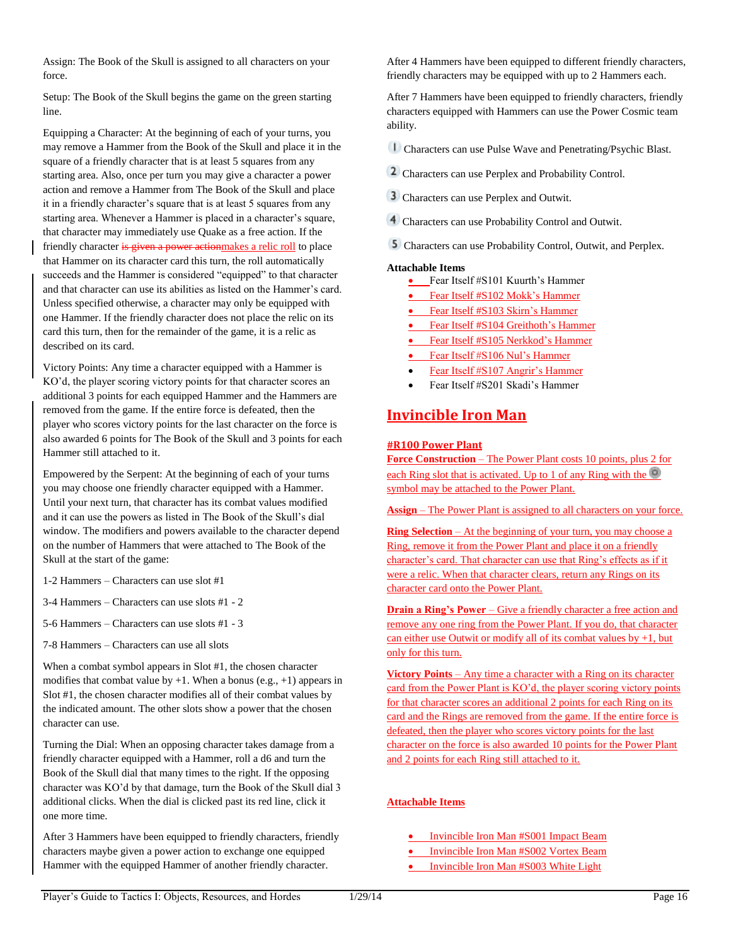Assign: The Book of the Skull is assigned to all characters on your force.

Setup: The Book of the Skull begins the game on the green starting line.

Equipping a Character: At the beginning of each of your turns, you may remove a Hammer from the Book of the Skull and place it in the square of a friendly character that is at least 5 squares from any starting area. Also, once per turn you may give a character a power action and remove a Hammer from The Book of the Skull and place it in a friendly character's square that is at least 5 squares from any starting area. Whenever a Hammer is placed in a character's square, that character may immediately use Quake as a free action. If the friendly character is given a power actionmakes a relic roll to place that Hammer on its character card this turn, the roll automatically succeeds and the Hammer is considered "equipped" to that character and that character can use its abilities as listed on the Hammer's card. Unless specified otherwise, a character may only be equipped with one Hammer. If the friendly character does not place the relic on its card this turn, then for the remainder of the game, it is a relic as described on its card.

Victory Points: Any time a character equipped with a Hammer is KO'd, the player scoring victory points for that character scores an additional 3 points for each equipped Hammer and the Hammers are removed from the game. If the entire force is defeated, then the player who scores victory points for the last character on the force is also awarded 6 points for The Book of the Skull and 3 points for each Hammer still attached to it.

Empowered by the Serpent: At the beginning of each of your turns you may choose one friendly character equipped with a Hammer. Until your next turn, that character has its combat values modified and it can use the powers as listed in The Book of the Skull's dial window. The modifiers and powers available to the character depend on the number of Hammers that were attached to The Book of the Skull at the start of the game:

- 1-2 Hammers Characters can use slot #1
- 3-4 Hammers Characters can use slots #1 2
- 5-6 Hammers Characters can use slots #1 3
- 7-8 Hammers Characters can use all slots

When a combat symbol appears in Slot #1, the chosen character modifies that combat value by  $+1$ . When a bonus (e.g.,  $+1$ ) appears in Slot #1, the chosen character modifies all of their combat values by the indicated amount. The other slots show a power that the chosen character can use.

Turning the Dial: When an opposing character takes damage from a friendly character equipped with a Hammer, roll a d6 and turn the Book of the Skull dial that many times to the right. If the opposing character was KO'd by that damage, turn the Book of the Skull dial 3 additional clicks. When the dial is clicked past its red line, click it one more time.

After 3 Hammers have been equipped to friendly characters, friendly characters maybe given a power action to exchange one equipped Hammer with the equipped Hammer of another friendly character.

After 4 Hammers have been equipped to different friendly characters, friendly characters may be equipped with up to 2 Hammers each.

After 7 Hammers have been equipped to friendly characters, friendly characters equipped with Hammers can use the Power Cosmic team ability.

Characters can use Pulse Wave and Penetrating/Psychic Blast.

- 2 Characters can use Perplex and Probability Control.
- Characters can use Perplex and Outwit.
- Characters can use Probability Control and Outwit.
- Characters can use Probability Control, Outwit, and Perplex.

#### **Attachable Items**

- Fear Itself #S101 Kuurth's Hammer
- Fear Itself **#S102 Mokk's Hammer**
- Fear Itself #S103 Skirn's Hammer
- Fear Itself #S104 Greithoth's Hammer
- Fear Itself #S105 Nerkkod's Hammer
- Fear Itself #S106 Nul's Hammer
- Fear Itself #S107 Angrir's Hammer
- Fear Itself #S201 Skadi's Hammer

## **Invincible Iron Man**

#### **#R100 Power Plant**

**Force Construction** – The Power Plant costs 10 points, plus 2 for each Ring slot that is activated. Up to 1 of any Ring with the symbol may be attached to the Power Plant.

**Assign** – The Power Plant is assigned to all characters on your force.

**Ring Selection** – At the beginning of your turn, you may choose a Ring, remove it from the Power Plant and place it on a friendly character's card. That character can use that Ring's effects as if it were a relic. When that character clears, return any Rings on its character card onto the Power Plant.

**Drain a Ring's Power** – Give a friendly character a free action and remove any one ring from the Power Plant. If you do, that character can either use Outwit or modify all of its combat values by  $+1$ , but only for this turn.

**Victory Points** – Any time a character with a Ring on its character card from the Power Plant is KO'd, the player scoring victory points for that character scores an additional 2 points for each Ring on its card and the Rings are removed from the game. If the entire force is defeated, then the player who scores victory points for the last character on the force is also awarded 10 points for the Power Plant and 2 points for each Ring still attached to it.

### **Attachable Items**

- Invincible Iron Man #S001 Impact Beam
- Invincible Iron Man #S002 Vortex Beam
- Invincible Iron Man #S003 White Light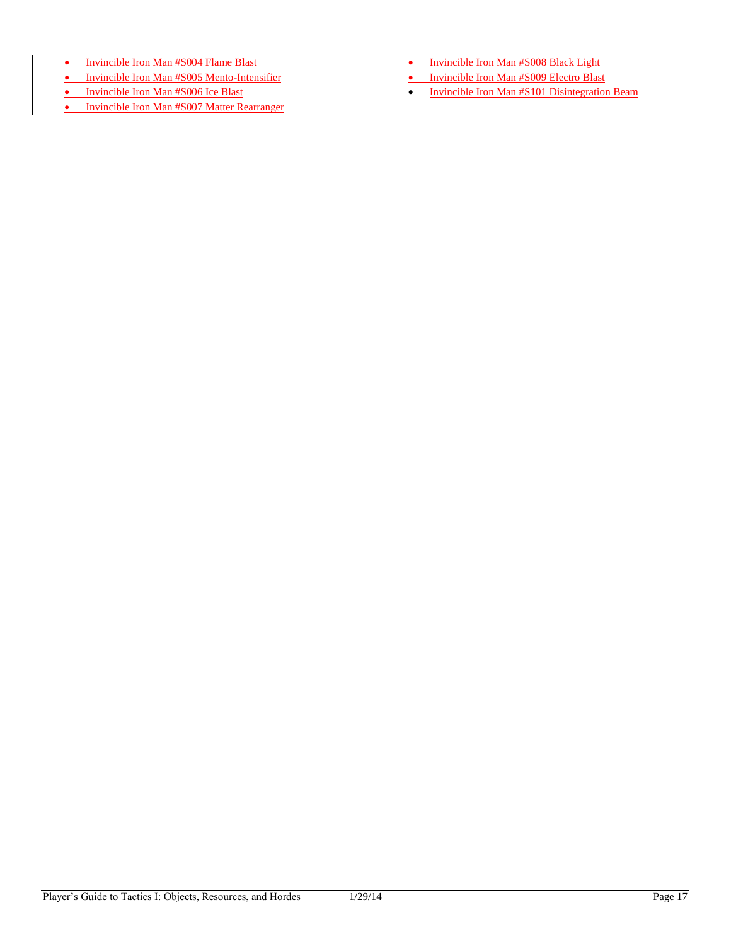- Invincible Iron Man #S004 Flame Blast
- Invincible Iron Man #S005 Mento-Intensifier
- Invincible Iron Man #S006 Ice Blast
- Invincible Iron Man #S007 Matter Rearranger
- Invincible Iron Man #S008 Black Light
- Invincible Iron Man #S009 Electro Blast
- Invincible Iron Man #S101 Disintegration Beam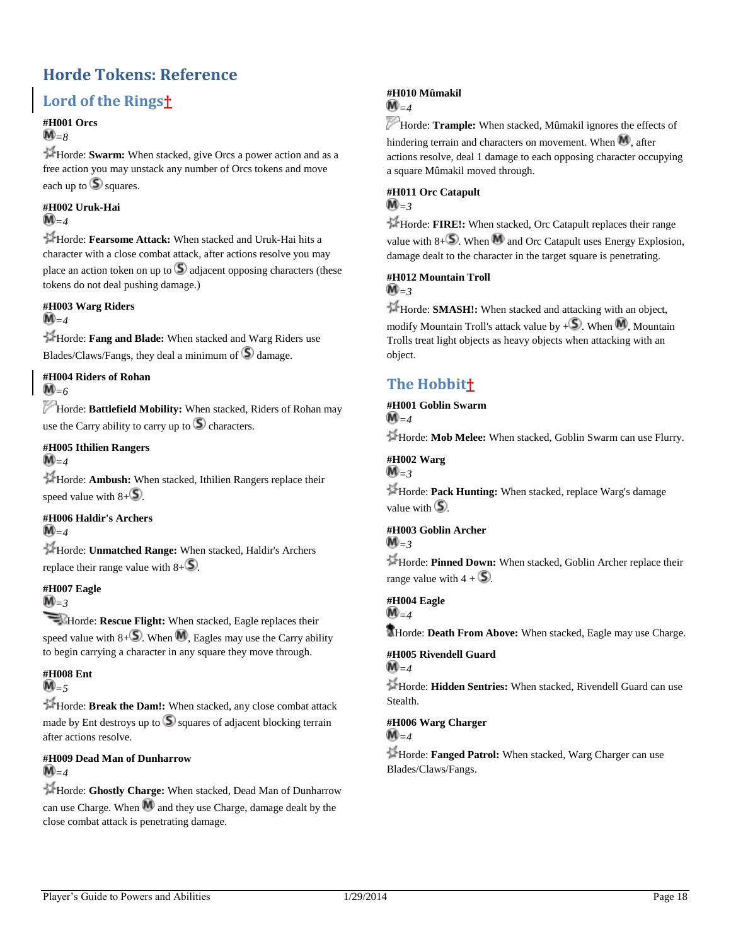## <span id="page-18-0"></span>**Horde Tokens: Reference**

## **Lord of the Rings†**

### **#H001 Orcs**

 $\mathbf{M}_{=8}$ 

Horde: **Swarm:** When stacked, give Orcs a power action and as a free action you may unstack any number of Orcs tokens and move each up to  $\circled{S}$  squares.

#### **#H002 Uruk-Hai**  $\mathbf{M}_{=4}$

Horde: **Fearsome Attack:** When stacked and Uruk-Hai hits a character with a close combat attack, after actions resolve you may place an action token on up to  $\Box$  adjacent opposing characters (these tokens do not deal pushing damage.)

### **#H003 Warg Riders**

### $M_{-4}$

Horde: **Fang and Blade:** When stacked and Warg Riders use Blades/Claws/Fangs, they deal a minimum of  $\Box$  damage.

**#H004 Riders of Rohan**  $\bar{M}_{=6}$ 

Horde: **Battlefield Mobility:** When stacked, Riders of Rohan may use the Carry ability to carry up to  $\circled{S}$  characters.

### **#H005 Ithilien Rangers**

 $\widehat{\mathbb{M}}_{=4}$ 

Horde: **Ambush:** When stacked, Ithilien Rangers replace their speed value with  $8 + 5$ .

#### **#H006 Haldir's Archers**  $\widehat{\mathbf{M}}_{=4}$

Horde: **Unmatched Range:** When stacked, Haldir's Archers replace their range value with  $8+\sqrt{5}$ .

## **#H007 Eagle**

 $M_{=3}$ 

**Horde: Rescue Flight:** When stacked, Eagle replaces their speed value with  $8+\sqrt{5}$ . When M, Eagles may use the Carry ability to begin carrying a character in any square they move through.

### **#H008 Ent**

 $\bar{M}$  = 5

Horde: **Break the Dam!:** When stacked, any close combat attack made by Ent destroys up to  $\mathbb S$  squares of adjacent blocking terrain after actions resolve.

#### **#H009 Dead Man of Dunharrow**  $\mathbf{M}_{=4}$

Horde: **Ghostly Charge:** When stacked, Dead Man of Dunharrow can use Charge. When  $\mathbb{M}$  and they use Charge, damage dealt by the close combat attack is penetrating damage.

### **#H010 Mûmakil**

## $\widehat{\mathsf{M}}_{=4}$

Horde: Trample: When stacked, Mûmakil ignores the effects of hindering terrain and characters on movement. When  $\mathbf{M}$ , after actions resolve, deal 1 damage to each opposing character occupying a square Mûmakil moved through.

### **#H011 Orc Catapult**

### $\mathbf{M}_{=3}$

Horde: **FIRE!:** When stacked, Orc Catapult replaces their range value with  $8 + S$ . When M and Orc Catapult uses Energy Explosion, damage dealt to the character in the target square is penetrating.

### **#H012 Mountain Troll**

### $\mathbf{M}_{=3}$

Horde: **SMASH!:** When stacked and attacking with an object, modify Mountain Troll's attack value by  $+S$ . When  $\mathbf{M}$ , Mountain Trolls treat light objects as heavy objects when attacking with an object.

## **The Hobbit†**

#### **#H001 Goblin Swarm**  $\mathbf{M}_{=4}$

Horde: **Mob Melee:** When stacked, Goblin Swarm can use Flurry.

#### **#H002 Warg**  $\mathbf{M}$ =3

Horde: **Pack Hunting:** When stacked, replace Warg's damage value with  $\mathbf{S}$ .

#### **#H003 Goblin Archer** *=3*

Horde: **Pinned Down:** When stacked, Goblin Archer replace their range value with  $4 + 5$ .

### **#H004 Eagle**

 $\widehat{\mathbb{M}}_{=4}$ 

Horde: **Death From Above:** When stacked, Eagle may use Charge.

#### **#H005 Rivendell Guard**  $M_{-4}$

Horde: **Hidden Sentries:** When stacked, Rivendell Guard can use Stealth.

### **#H006 Warg Charger**

 $\mathbf{M}_{=4}$ 

Horde: **Fanged Patrol:** When stacked, Warg Charger can use Blades/Claws/Fangs.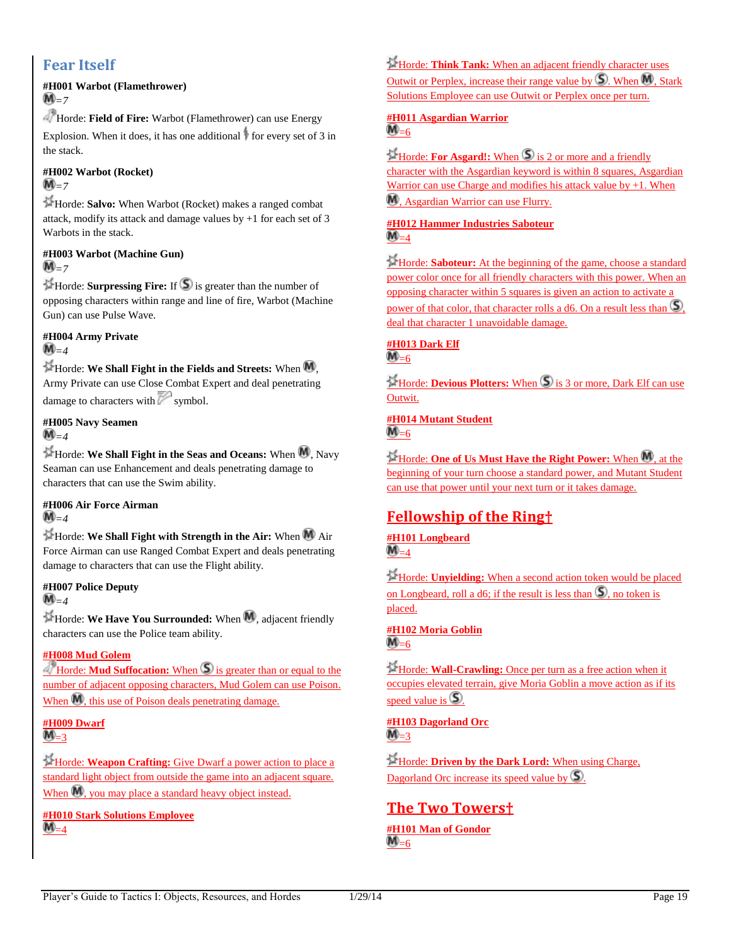## **Fear Itself**

#### **#H001 Warbot (Flamethrower)**  $M_{=7}$

Horde: **Field of Fire:** Warbot (Flamethrower) can use Energy

Explosion. When it does, it has one additional  $\frac{1}{2}$  for every set of 3 in the stack.

#### **#H002 Warbot (Rocket)**  $\widehat{\mathbf{M}}=7$

Horde: **Salvo:** When Warbot (Rocket) makes a ranged combat attack, modify its attack and damage values by +1 for each set of 3 Warbots in the stack.

#### **#H003 Warbot (Machine Gun)**  $M_{\rm{m}}$

 $H$ Horde: **Surpressing Fire:** If  $\bigcirc$  is greater than the number of opposing characters within range and line of fire, Warbot (Machine Gun) can use Pulse Wave.

### **#H004 Army Private**  $\mathbf{M}_{=4}$

Horde: We Shall Fight in the Fields and Streets: When  $M$ , Army Private can use Close Combat Expert and deal penetrating damage to characters with  $\sim$  symbol.

## **#H005 Navy Seamen**

## $\widehat{\mathbf{M}}_{=4}$

Horde: We Shall Fight in the Seas and Oceans: When M, Navy Seaman can use Enhancement and deals penetrating damage to characters that can use the Swim ability.

#### **#H006 Air Force Airman**  $\mathbb{M}_{=4}$

Horde: **We Shall Fight with Strength in the Air:** When Air Force Airman can use Ranged Combat Expert and deals penetrating damage to characters that can use the Flight ability.

## **#H007 Police Deputy**

 $\mathbf{M}_{=4}$ 

Horde: We Have You Surrounded: When M, adjacent friendly characters can use the Police team ability.

### **#H008 Mud Golem**

Horde: **Mud Suffocation:** When  $\bigcirc$  is greater than or equal to the number of adjacent opposing characters, Mud Golem can use Poison. When  $\overline{M}$ , this use of Poison deals penetrating damage.

#### **#H009 Dwarf**  $\mathbf{M}_{=3}$

Horde: **Weapon Crafting:** Give Dwarf a power action to place a standard light object from outside the game into an adjacent square. When  $\mathbf{M}$ , you may place a standard heavy object instead.

**#H010 Stark Solutions Employee**  $M_{=4}$ 

Horde: **Think Tank:** When an adjacent friendly character uses Outwit or Perplex, increase their range value by  $\mathbb{S}$ . When  $\mathbb{M}$ , Stark Solutions Employee can use Outwit or Perplex once per turn.

### **#H011 Asgardian Warrior**  $\overline{\mathsf{M}}_{=6}$

**Horde: For Asgard!:** When  $\bigcirc$  is 2 or more and a friendly character with the Asgardian keyword is within 8 squares, Asgardian Warrior can use Charge and modifies his attack value by  $+1$ . When , Asgardian Warrior can use Flurry.

### **#H012 Hammer Industries Saboteur**  $M_{=4}$

Horde: **Saboteur:** At the beginning of the game, choose a standard power color once for all friendly characters with this power. When an opposing character within 5 squares is given an action to activate a power of that color, that character rolls a  $d6$ . On a result less than  $\mathcal{S}$ , deal that character 1 unavoidable damage.

## **#H013 Dark Elf**

 $M_{=6}$ 

**Horde: Devious Plotters:** When **S** is 3 or more, Dark Elf can use Outwit.

#### **#H014 Mutant Student**  $M_{=6}$

**Horde: One of Us Must Have the Right Power:** When M, at the beginning of your turn choose a standard power, and Mutant Student can use that power until your next turn or it takes damage.

## **Fellowship of the Ring†**

#### **#H101 Longbeard**  $\mathbf{M}_{=4}$

Horde: **Unyielding:** When a second action token would be placed on Longbeard, roll a d6; if the result is less than  $\Omega$ , no token is placed.

**#H102 Moria Goblin**  $M_{=6}$ 

Horde: **Wall-Crawling:** Once per turn as a free action when it occupies elevated terrain, give Moria Goblin a move action as if its speed value is  $\mathbb{S}$ .

**#H103 Dagorland Orc**  $\mathbf{M}_{=}$ 3

Horde: **Driven by the Dark Lord:** When using Charge, Dagorland Orc increase its speed value by  $\mathcal{S}$ .

## **The Two Towers†**

**#H101 Man of Gondor**  $\mathbf{M}_{=6}$